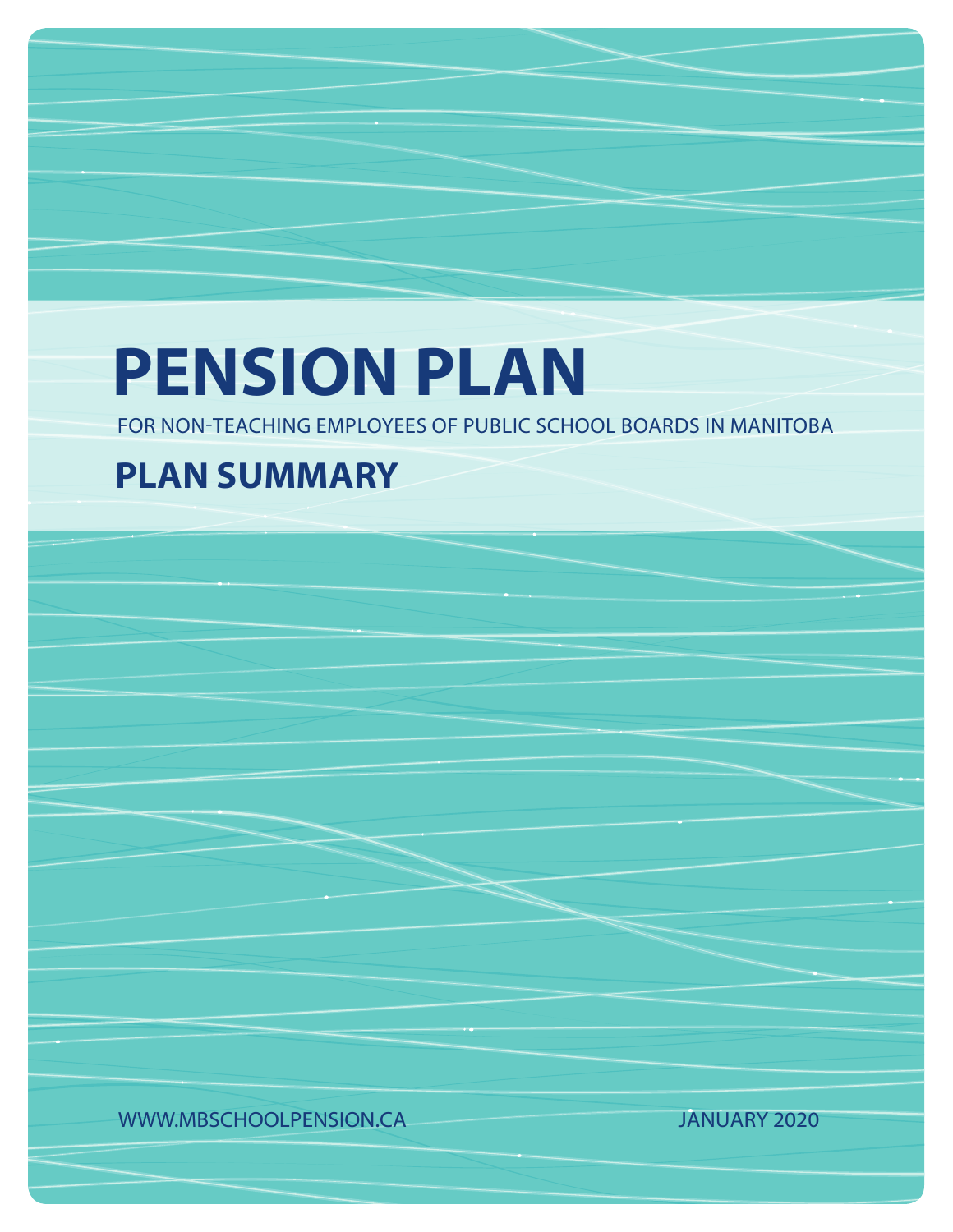# **PENSION PLAN**

FOR NON-TEACHING EMPLOYEES OF PUBLIC SCHOOL BOARDS IN MANITOBA

# **PLAN SUMMARY**

WWW.MBSCHOOLPENSION.CA JANUARY 2020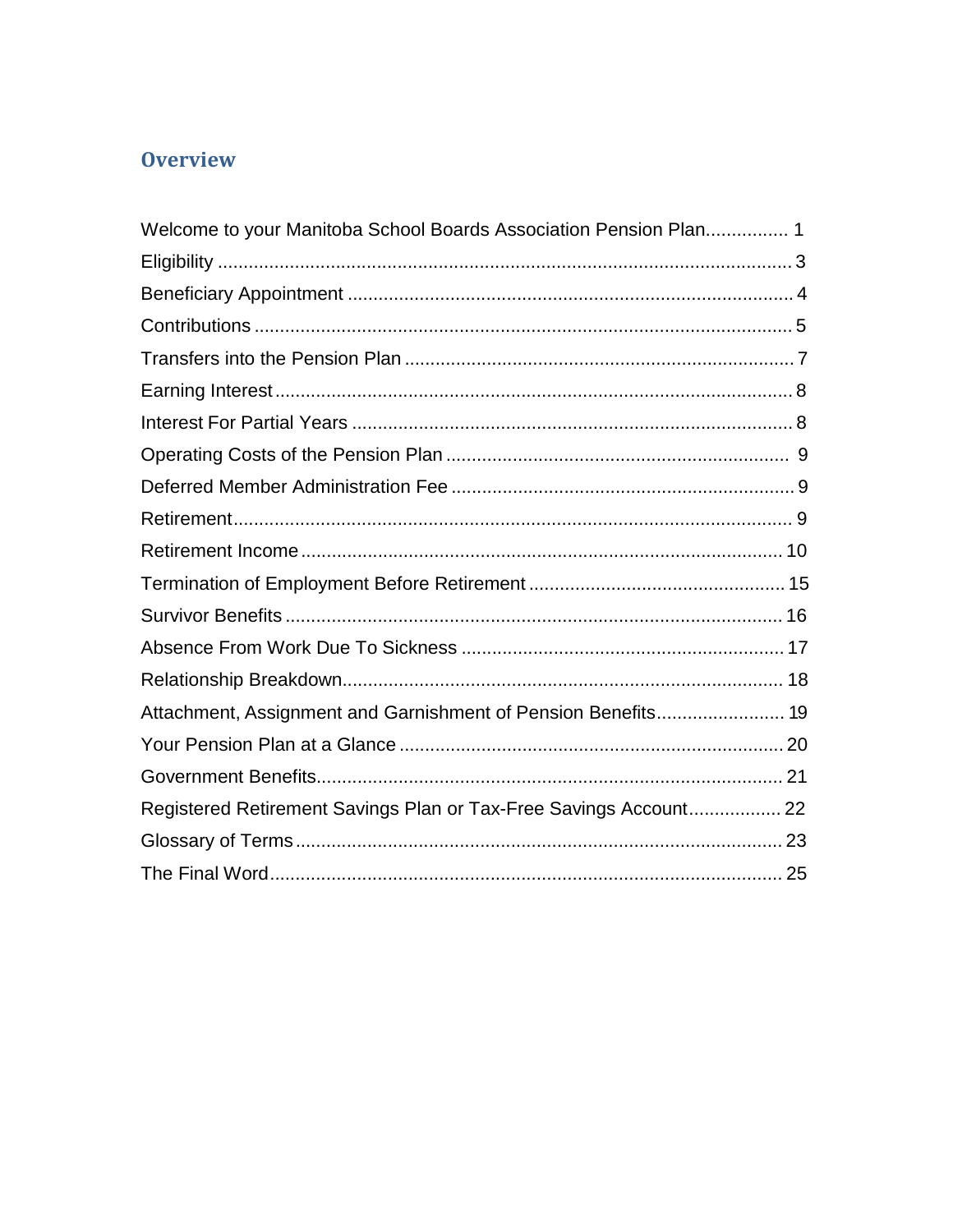# **Overview**

| Welcome to your Manitoba School Boards Association Pension Plan 1 |  |
|-------------------------------------------------------------------|--|
|                                                                   |  |
|                                                                   |  |
|                                                                   |  |
|                                                                   |  |
|                                                                   |  |
|                                                                   |  |
|                                                                   |  |
|                                                                   |  |
|                                                                   |  |
|                                                                   |  |
|                                                                   |  |
|                                                                   |  |
|                                                                   |  |
|                                                                   |  |
|                                                                   |  |
|                                                                   |  |
|                                                                   |  |
| Registered Retirement Savings Plan or Tax-Free Savings Account 22 |  |
|                                                                   |  |
|                                                                   |  |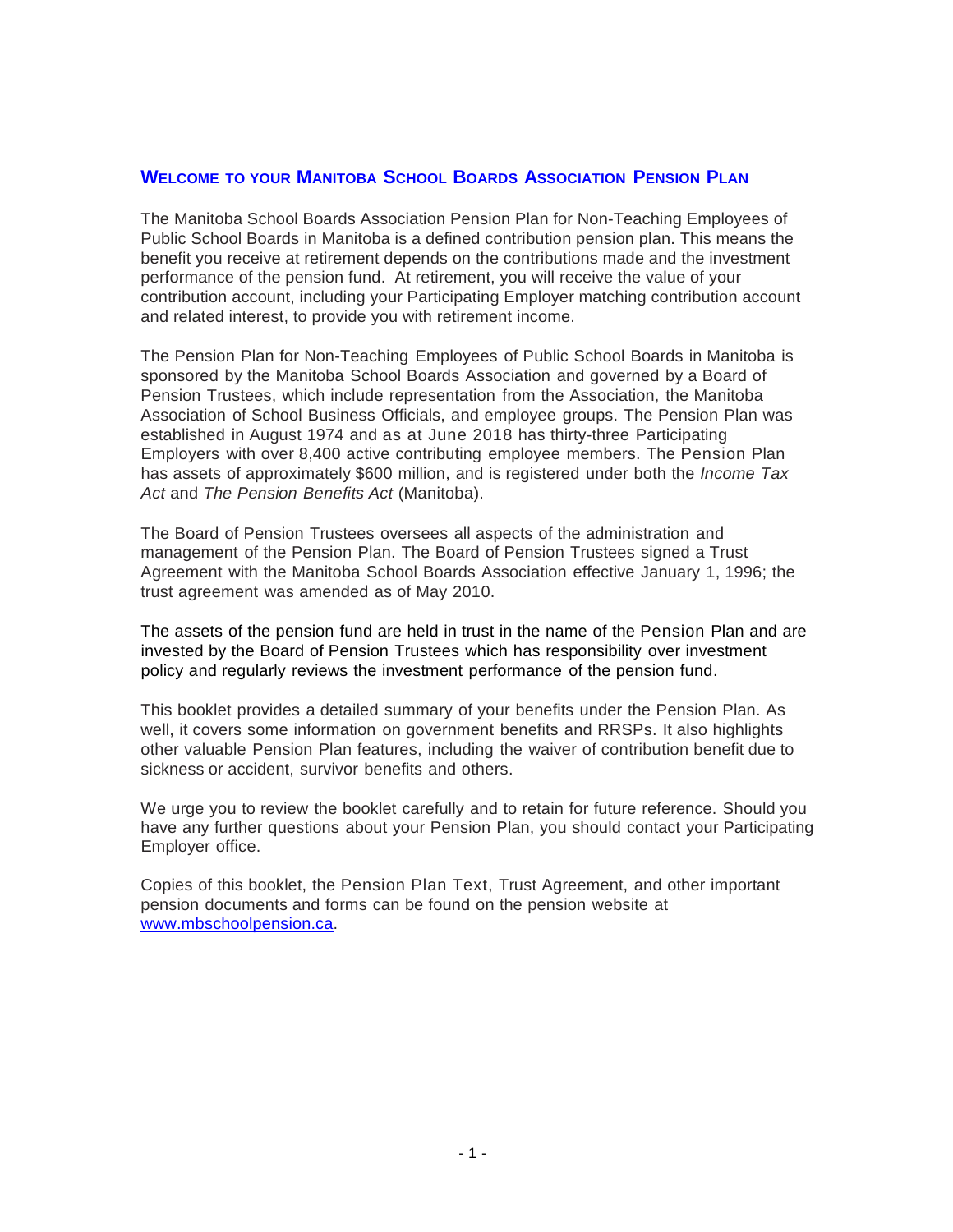#### **WELCOME TO YOUR MANITOBA SCHOOL BOARDS ASSOCIATION PENSION PLAN**

The Manitoba School Boards Association Pension Plan for Non-Teaching Employees of Public School Boards in Manitoba is a defined contribution pension plan. This means the benefit you receive at retirement depends on the contributions made and the investment performance of the pension fund. At retirement, you will receive the value of your contribution account, including your Participating Employer matching contribution account and related interest, to provide you with retirement income.

The Pension Plan for Non-Teaching Employees of Public School Boards in Manitoba is sponsored by the Manitoba School Boards Association and governed by a Board of Pension Trustees, which include representation from the Association, the Manitoba Association of School Business Officials, and employee groups. The Pension Plan was established in August 1974 and as at June 2018 has thirty-three Participating Employers with over 8,400 active contributing employee members. The Pension Plan has assets of approximately \$600 million, and is registered under both the *Income Tax Act* and *The Pension Benefits Act* (Manitoba).

The Board of Pension Trustees oversees all aspects of the administration and management of the Pension Plan. The Board of Pension Trustees signed a Trust Agreement with the Manitoba School Boards Association effective January 1, 1996; the trust agreement was amended as of May 2010.

The assets of the pension fund are held in trust in the name of the Pension Plan and are invested by the Board of Pension Trustees which has responsibility over investment policy and regularly reviews the investment performance of the pension fund.

This booklet provides a detailed summary of your benefits under the Pension Plan. As well, it covers some information on government benefits and RRSPs. It also highlights other valuable Pension Plan features, including the waiver of contribution benefit due to sickness or accident, survivor benefits and others.

We urge you to review the booklet carefully and to retain for future reference. Should you have any further questions about your Pension Plan, you should contact your Participating Employer office.

Copies of this booklet, the Pension Plan Text, Trust Agreement, and other important pension documents and forms can be found on the pension website at [www.mbschoolpension.ca.](http://www.mbschoolpension.ca/)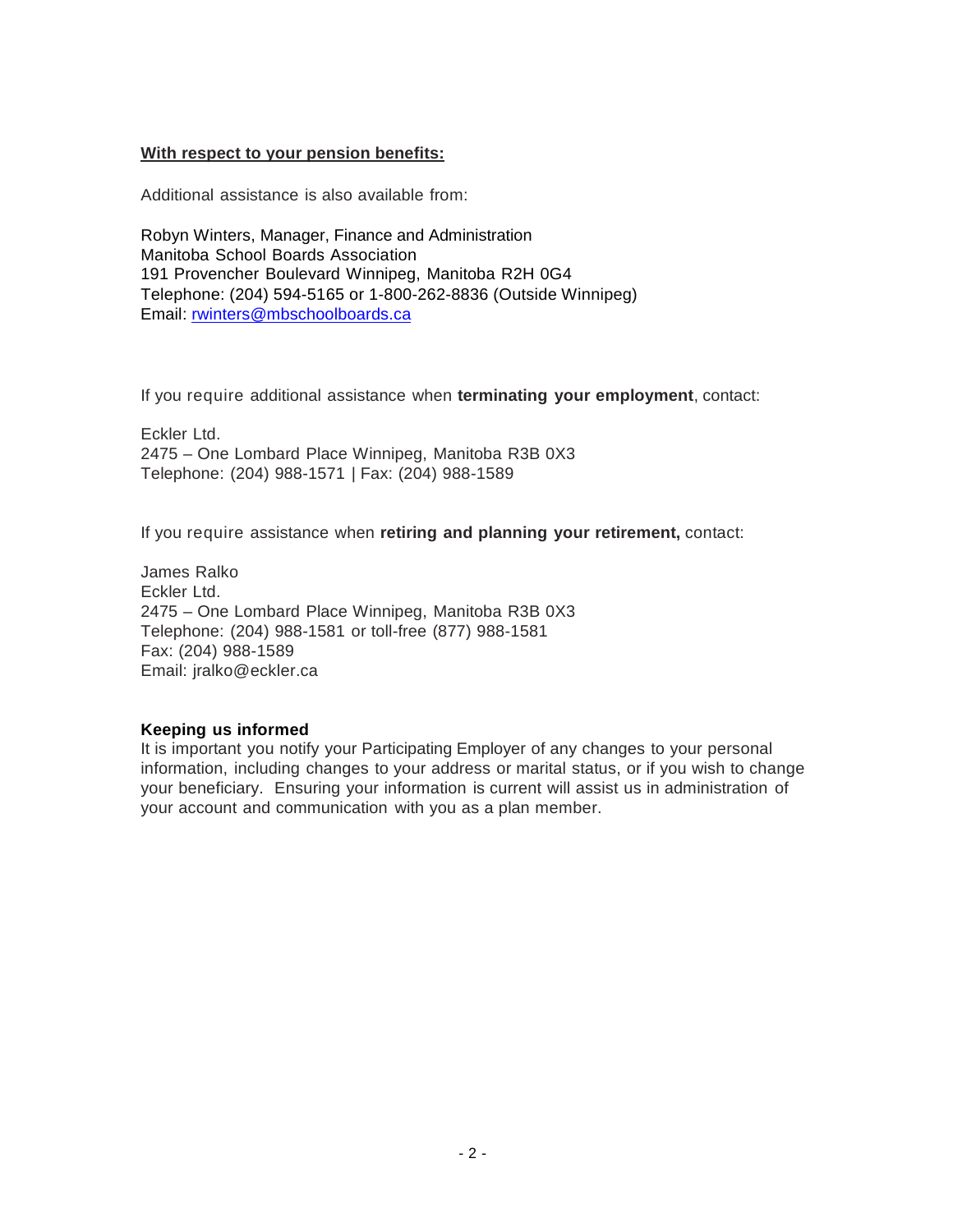#### **With respect to your pension benefits:**

Additional assistance is also available from:

Robyn Winters, Manager, Finance and Administration Manitoba School Boards Association 191 Provencher Boulevard Winnipeg, Manitoba R2H 0G4 Telephone: (204) 594-5165 or 1-800-262-8836 (Outside Winnipeg) Email: [rwinters@mbschoolboards.ca](mailto:rwinters@mbschoolboards.ca)

If you require additional assistance when **terminating your employment**, contact:

Eckler Ltd. 2475 – One Lombard Place Winnipeg, Manitoba R3B 0X3 Telephone: (204) 988-1571 | Fax: (204) 988-1589

If you require assistance when **retiring and planning your retirement,** contact:

James Ralko Eckler Ltd. 2475 – One Lombard Place Winnipeg, Manitoba R3B 0X3 Telephone: (204) 988-1581 or toll-free (877) 988-1581 Fax: (204) 988-1589 Email: [jralko@eckler.ca](mailto:jralko@eckler.ca)

#### **Keeping us informed**

It is important you notify your Participating Employer of any changes to your personal information, including changes to your address or marital status, or if you wish to change your beneficiary. Ensuring your information is current will assist us in administration of your account and communication with you as a plan member.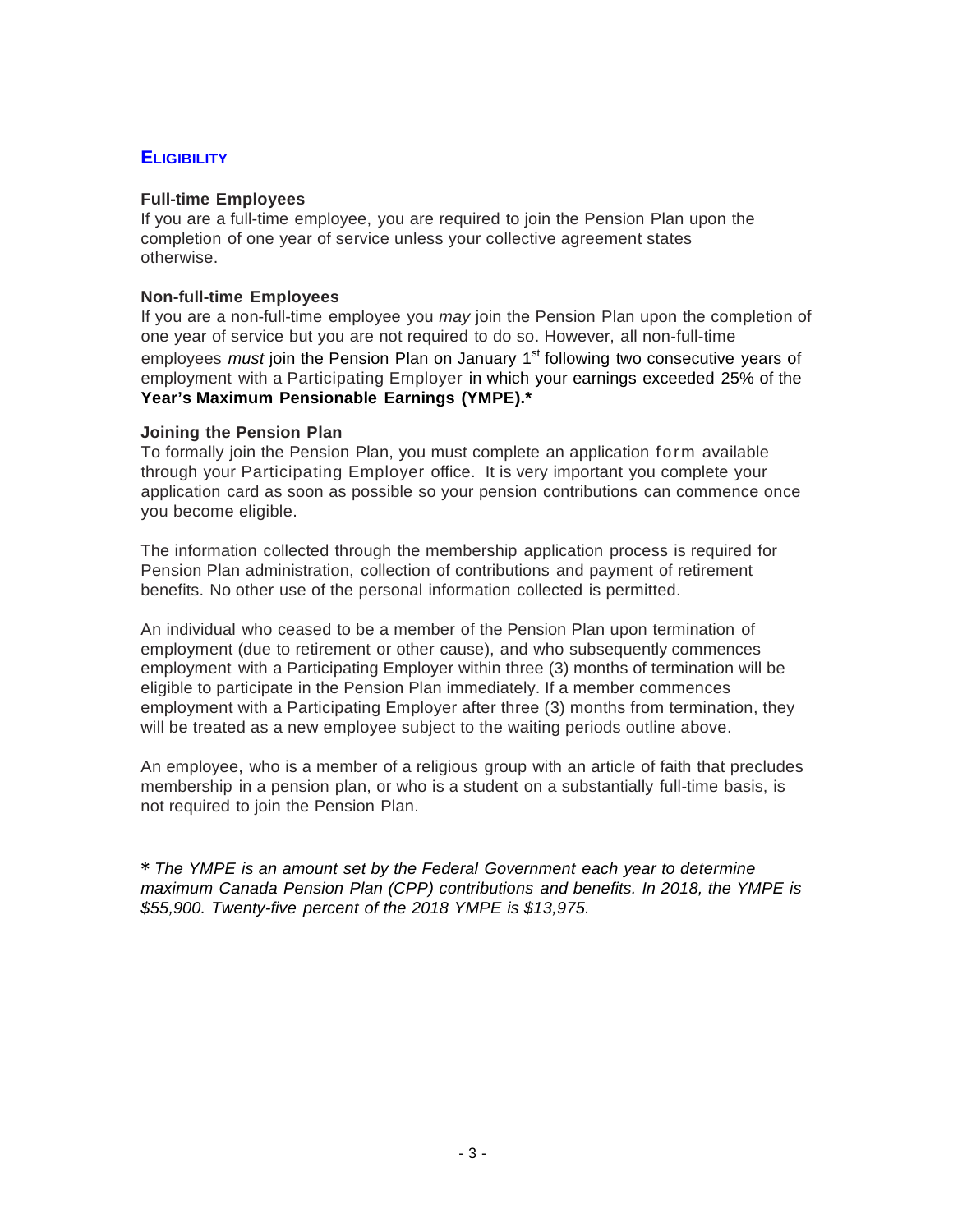# **ELIGIBILITY**

#### **Full-time Employees**

If you are a full-time employee, you are required to join the Pension Plan upon the completion of one year of service unless your collective agreement states otherwise.

#### **Non-full-time Employees**

If you are a non-full-time employee you *may* join the Pension Plan upon the completion of one year of service but you are not required to do so. However, all non-full-time employees *must* join the Pension Plan on January 1<sup>st</sup> following two consecutive years of employment with a Participating Employer in which your earnings exceeded 25% of the **Year's Maximum Pensionable Earnings (YMPE).\***

#### **Joining the Pension Plan**

To formally join the Pension Plan, you must complete an application form available through your Participating Employer office. It is very important you complete your application card as soon as possible so your pension contributions can commence once you become eligible.

The information collected through the membership application process is required for Pension Plan administration, collection of contributions and payment of retirement benefits. No other use of the personal information collected is permitted.

An individual who ceased to be a member of the Pension Plan upon termination of employment (due to retirement or other cause), and who subsequently commences employment with a Participating Employer within three (3) months of termination will be eligible to participate in the Pension Plan immediately. If a member commences employment with a Participating Employer after three (3) months from termination, they will be treated as a new employee subject to the waiting periods outline above.

An employee, who is a member of a religious group with an article of faith that precludes membership in a pension plan, or who is a student on a substantially full-time basis, is not required to join the Pension Plan.

**\*** *The YMPE is an amount set by the Federal Government each year to determine maximum Canada Pension Plan (CPP) contributions and benefits. In 2018, the YMPE is \$55,900. Twenty-five percent of the 2018 YMPE is \$13,975.*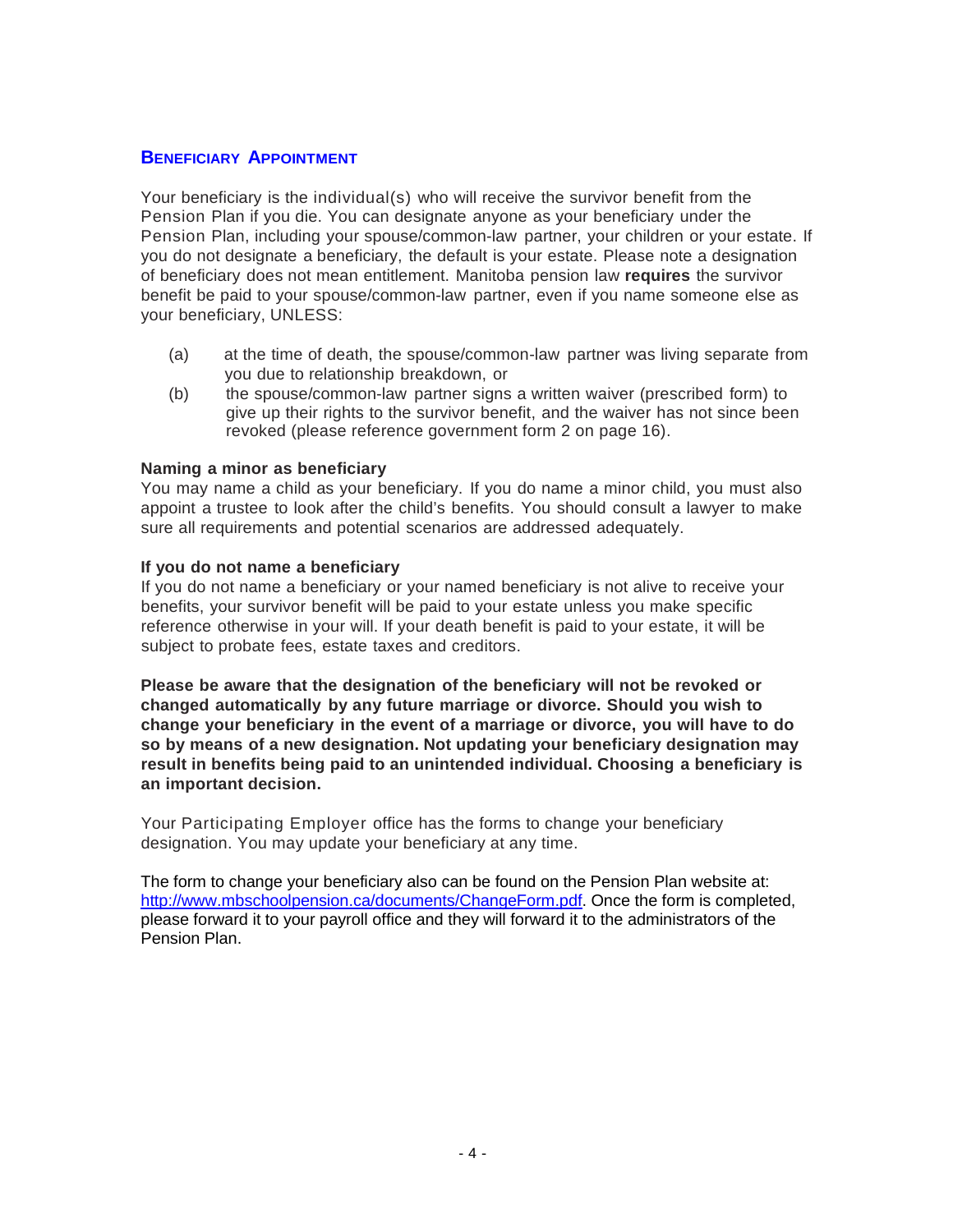#### **BENEFICIARY APPOINTMENT**

Your beneficiary is the individual(s) who will receive the survivor benefit from the Pension Plan if you die. You can designate anyone as your beneficiary under the Pension Plan, including your spouse/common-law partner, your children or your estate. If you do not designate a beneficiary, the default is your estate. Please note a designation of beneficiary does not mean entitlement. Manitoba pension law **requires** the survivor benefit be paid to your spouse/common-law partner, even if you name someone else as your beneficiary, UNLESS:

- (a) at the time of death, the spouse/common-law partner was living separate from you due to relationship breakdown, or
- (b) the spouse/common-law partner signs a written waiver (prescribed form) to give up their rights to the survivor benefit, and the waiver has not since been revoked (please reference government form 2 on page 16).

#### **Naming a minor as beneficiary**

You may name a child as your beneficiary. If you do name a minor child, you must also appoint a trustee to look after the child's benefits. You should consult a lawyer to make sure all requirements and potential scenarios are addressed adequately.

#### **If you do not name a beneficiary**

If you do not name a beneficiary or your named beneficiary is not alive to receive your benefits, your survivor benefit will be paid to your estate unless you make specific reference otherwise in your will. If your death benefit is paid to your estate, it will be subject to probate fees, estate taxes and creditors.

**Please be aware that the designation of the beneficiary will not be revoked or changed automatically by any future marriage or divorce. Should you wish to change your beneficiary in the event of a marriage or divorce, you will have to do so by means of a new designation. Not updating your beneficiary designation may result in benefits being paid to an unintended individual. Choosing a beneficiary is an important decision.**

Your Participating Employer office has the forms to change your beneficiary designation. You may update your beneficiary at any time.

The form to change your beneficiary also can be found on the Pension Plan website at: [http://www.mbschoolpension.ca/documents/ChangeForm.pdf.](http://www.mbschoolpension.ca/documents/ChangeForm.pdf) Once the form is completed, please forward it to your payroll office and they will forward it to the administrators of the Pension Plan.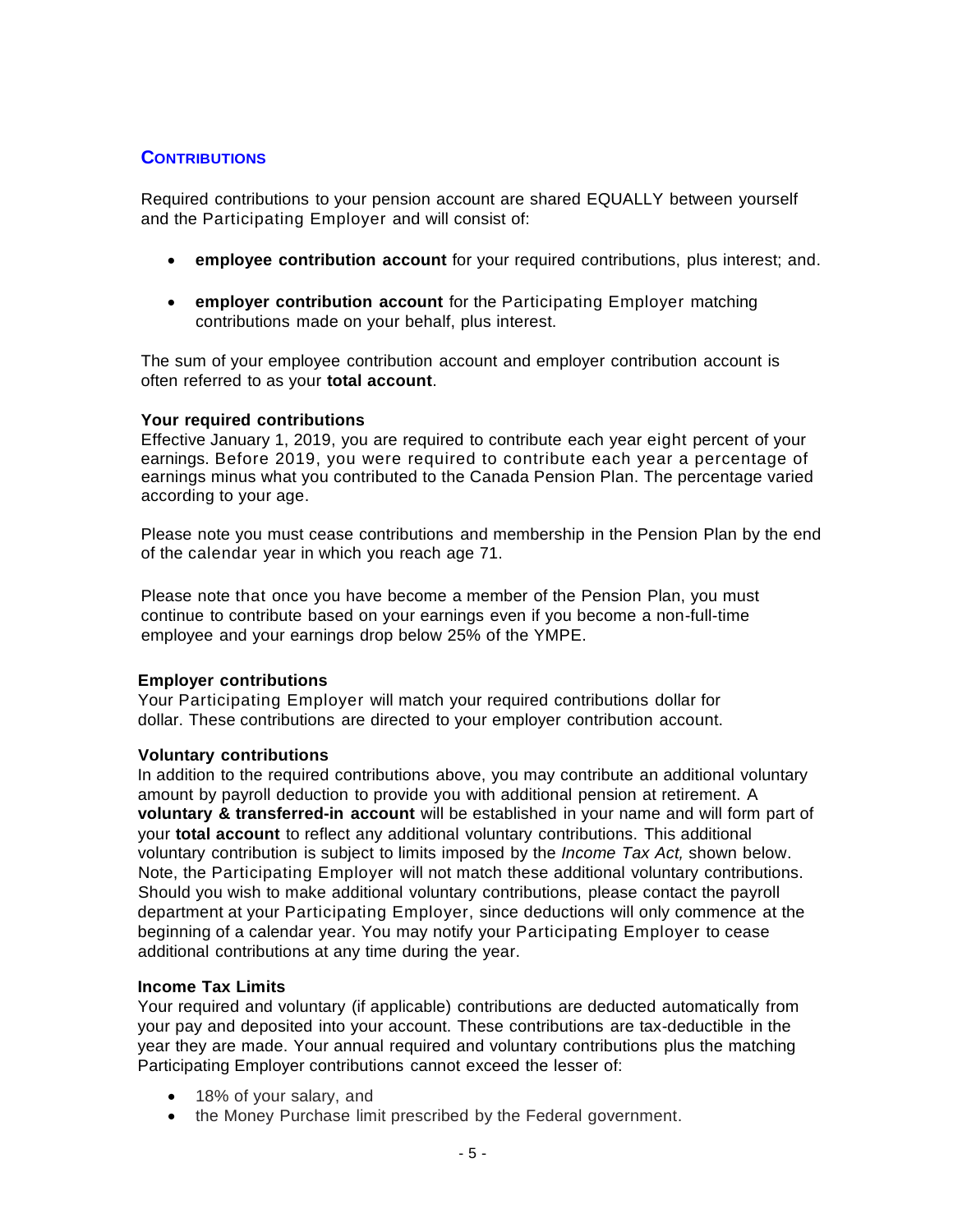# **CONTRIBUTIONS**

Required contributions to your pension account are shared EQUALLY between yourself and the Participating Employer and will consist of:

- **employee contribution account** for your required contributions, plus interest; and.
- **employer contribution account** for the Participating Employer matching contributions made on your behalf, plus interest.

The sum of your employee contribution account and employer contribution account is often referred to as your **total account**.

#### **Your required contributions**

Effective January 1, 2019, you are required to contribute each year eight percent of your earnings. Before 2019, you were required to contribute each year a percentage of earnings minus what you contributed to the Canada Pension Plan. The percentage varied according to your age.

Please note you must cease contributions and membership in the Pension Plan by the end of the calendar year in which you reach age 71.

Please note that once you have become a member of the Pension Plan, you must continue to contribute based on your earnings even if you become a non-full-time employee and your earnings drop below 25% of the YMPE.

#### **Employer contributions**

Your Participating Employer will match your required contributions dollar for dollar. These contributions are directed to your employer contribution account.

#### **Voluntary contributions**

In addition to the required contributions above, you may contribute an additional voluntary amount by payroll deduction to provide you with additional pension at retirement. A **voluntary & transferred-in account** will be established in your name and will form part of your **total account** to reflect any additional voluntary contributions. This additional voluntary contribution is subject to limits imposed by the *Income Tax Act,* shown below. Note, the Participating Employer will not match these additional voluntary contributions. Should you wish to make additional voluntary contributions, please contact the payroll department at your Participating Employer, since deductions will only commence at the beginning of a calendar year. You may notify your Participating Employer to cease additional contributions at any time during the year.

#### **Income Tax Limits**

Your required and voluntary (if applicable) contributions are deducted automatically from your pay and deposited into your account. These contributions are tax-deductible in the year they are made. Your annual required and voluntary contributions plus the matching Participating Employer contributions cannot exceed the lesser of:

- 18% of your salary, and
- the Money Purchase limit prescribed by the Federal government.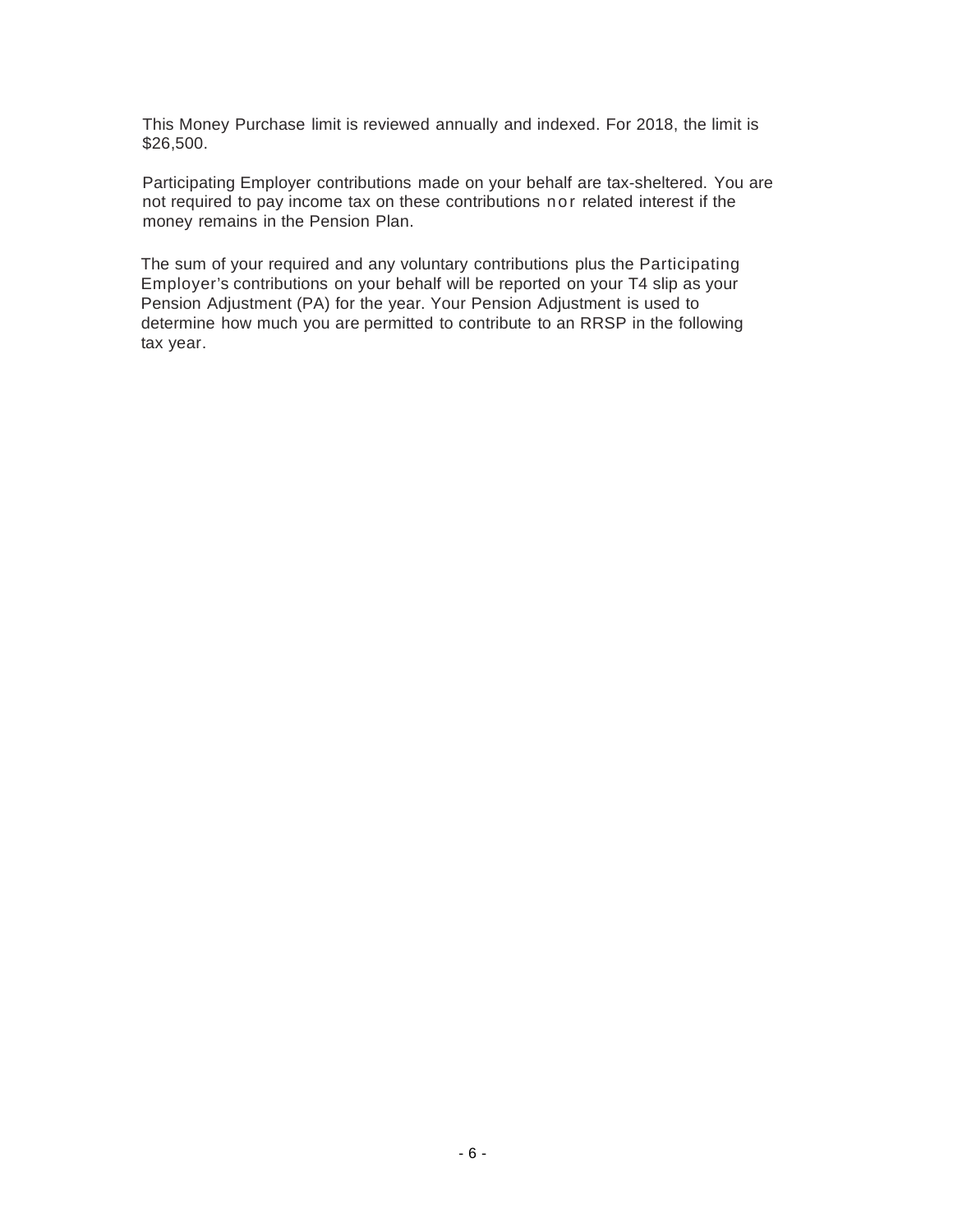This Money Purchase limit is reviewed annually and indexed. For 2018, the limit is \$26,500.

Participating Employer contributions made on your behalf are tax-sheltered. You are not required to pay income tax on these contributions nor related interest if the money remains in the Pension Plan.

The sum of your required and any voluntary contributions plus the Participating Employer's contributions on your behalf will be reported on your T4 slip as your Pension Adjustment (PA) for the year. Your Pension Adjustment is used to determine how much you are permitted to contribute to an RRSP in the following tax year.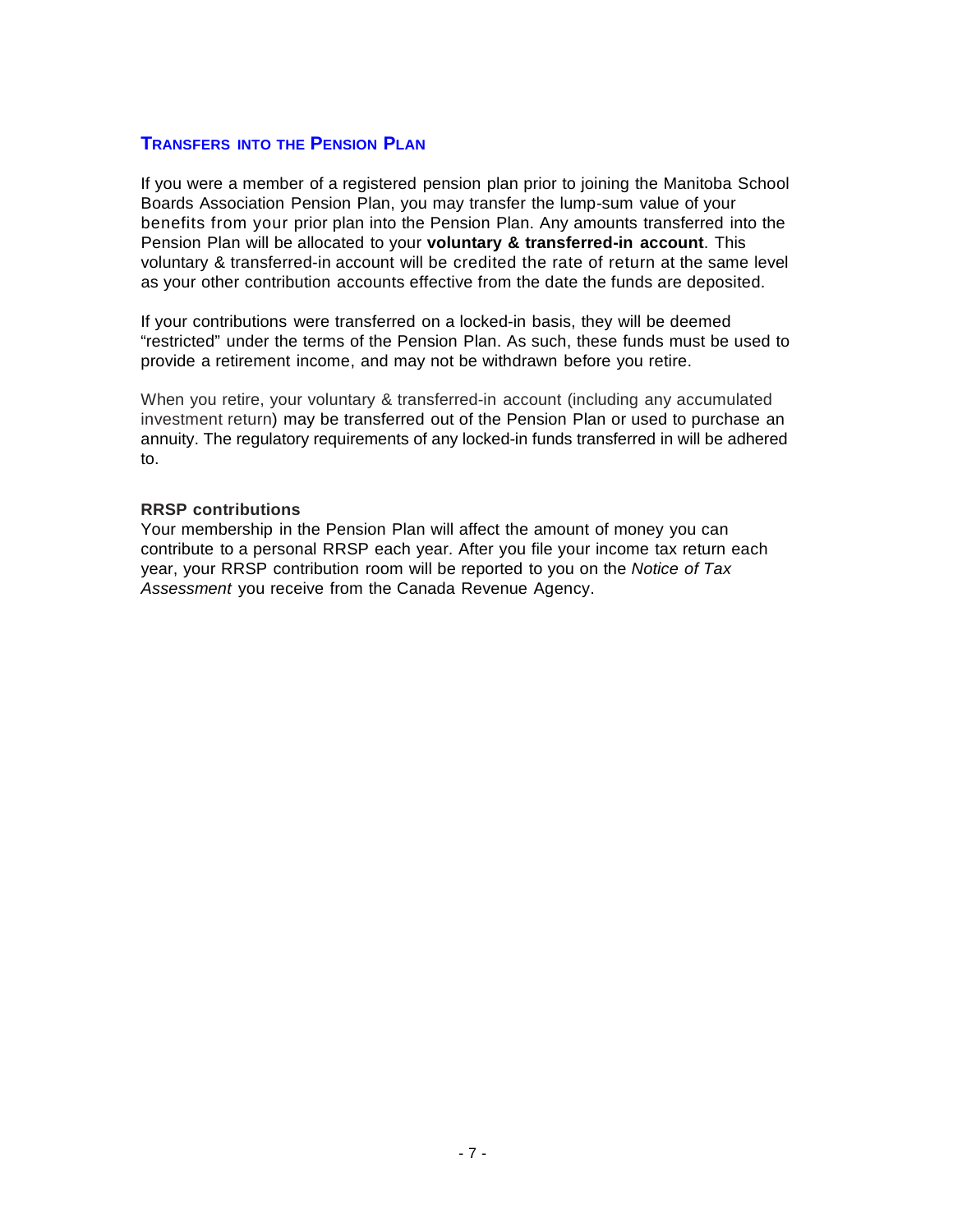# **TRANSFERS INTO THE PENSION PLAN**

If you were a member of a registered pension plan prior to joining the Manitoba School Boards Association Pension Plan, you may transfer the lump-sum value of your benefits from your prior plan into the Pension Plan. Any amounts transferred into the Pension Plan will be allocated to your **voluntary & transferred-in account**. This voluntary & transferred-in account will be credited the rate of return at the same level as your other contribution accounts effective from the date the funds are deposited.

If your contributions were transferred on a locked-in basis, they will be deemed "restricted" under the terms of the Pension Plan. As such, these funds must be used to provide a retirement income, and may not be withdrawn before you retire.

When you retire, your voluntary & transferred-in account (including any accumulated investment return) may be transferred out of the Pension Plan or used to purchase an annuity. The regulatory requirements of any locked-in funds transferred in will be adhered to.

#### **RRSP contributions**

Your membership in the Pension Plan will affect the amount of money you can contribute to a personal RRSP each year. After you file your income tax return each year, your RRSP contribution room will be reported to you on the *Notice of Tax Assessment* you receive from the Canada Revenue Agency.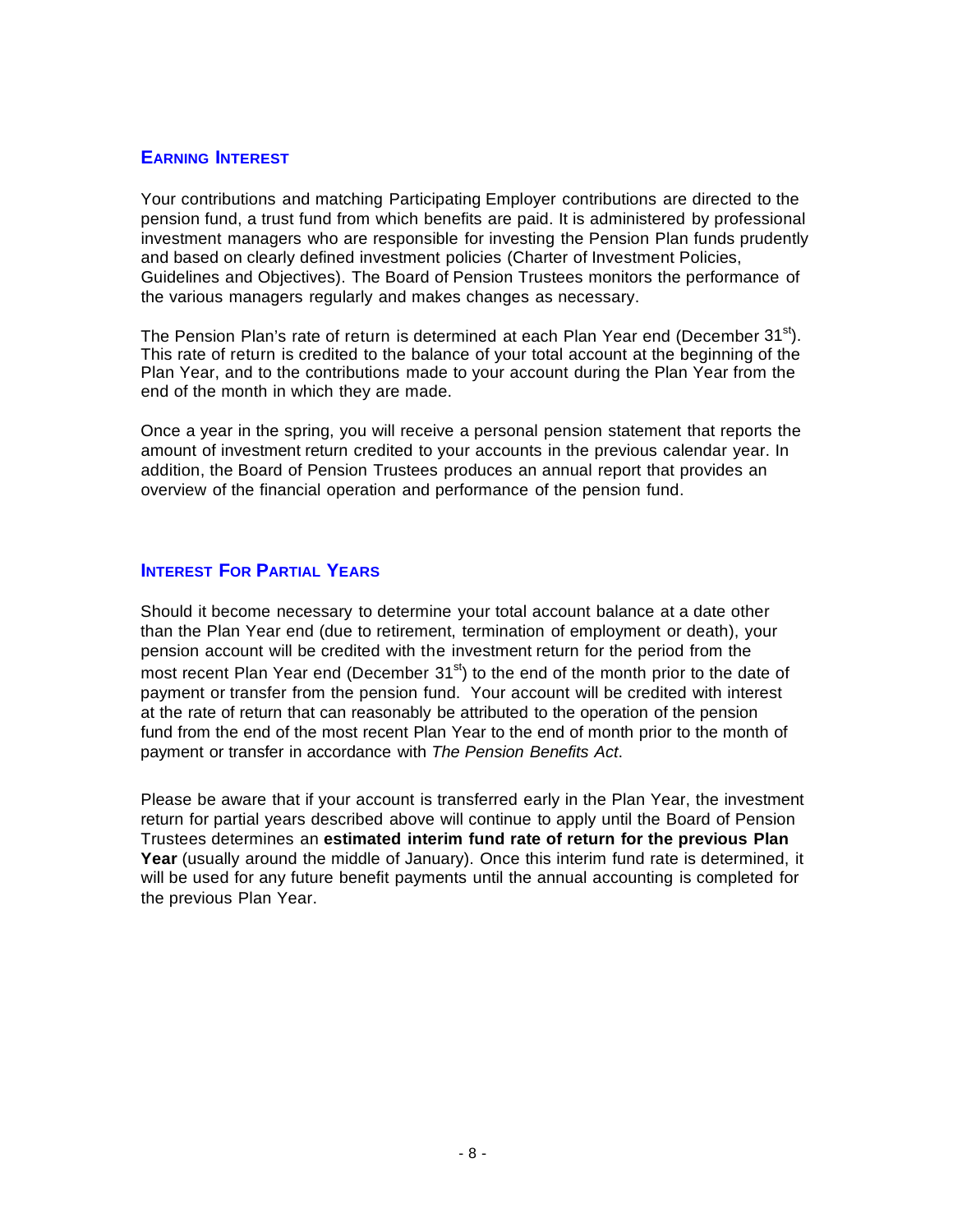# **EARNING INTEREST**

Your contributions and matching Participating Employer contributions are directed to the pension fund, a trust fund from which benefits are paid. It is administered by professional investment managers who are responsible for investing the Pension Plan funds prudently and based on clearly defined investment policies (Charter of Investment Policies, Guidelines and Objectives). The Board of Pension Trustees monitors the performance of the various managers regularly and makes changes as necessary.

The Pension Plan's rate of return is determined at each Plan Year end (December  $31<sup>st</sup>$ ). This rate of return is credited to the balance of your total account at the beginning of the Plan Year, and to the contributions made to your account during the Plan Year from the end of the month in which they are made.

Once a year in the spring, you will receive a personal pension statement that reports the amount of investment return credited to your accounts in the previous calendar year. In addition, the Board of Pension Trustees produces an annual report that provides an overview of the financial operation and performance of the pension fund.

#### **INTEREST FOR PARTIAL YEARS**

Should it become necessary to determine your total account balance at a date other than the Plan Year end (due to retirement, termination of employment or death), your pension account will be credited with the investment return for the period from the most recent Plan Year end (December  $31<sup>st</sup>$ ) to the end of the month prior to the date of payment or transfer from the pension fund. Your account will be credited with interest at the rate of return that can reasonably be attributed to the operation of the pension fund from the end of the most recent Plan Year to the end of month prior to the month of payment or transfer in accordance with *The Pension Benefits Act*.

Please be aware that if your account is transferred early in the Plan Year, the investment return for partial years described above will continue to apply until the Board of Pension Trustees determines an **estimated interim fund rate of return for the previous Plan Year** (usually around the middle of January). Once this interim fund rate is determined, it will be used for any future benefit payments until the annual accounting is completed for the previous Plan Year.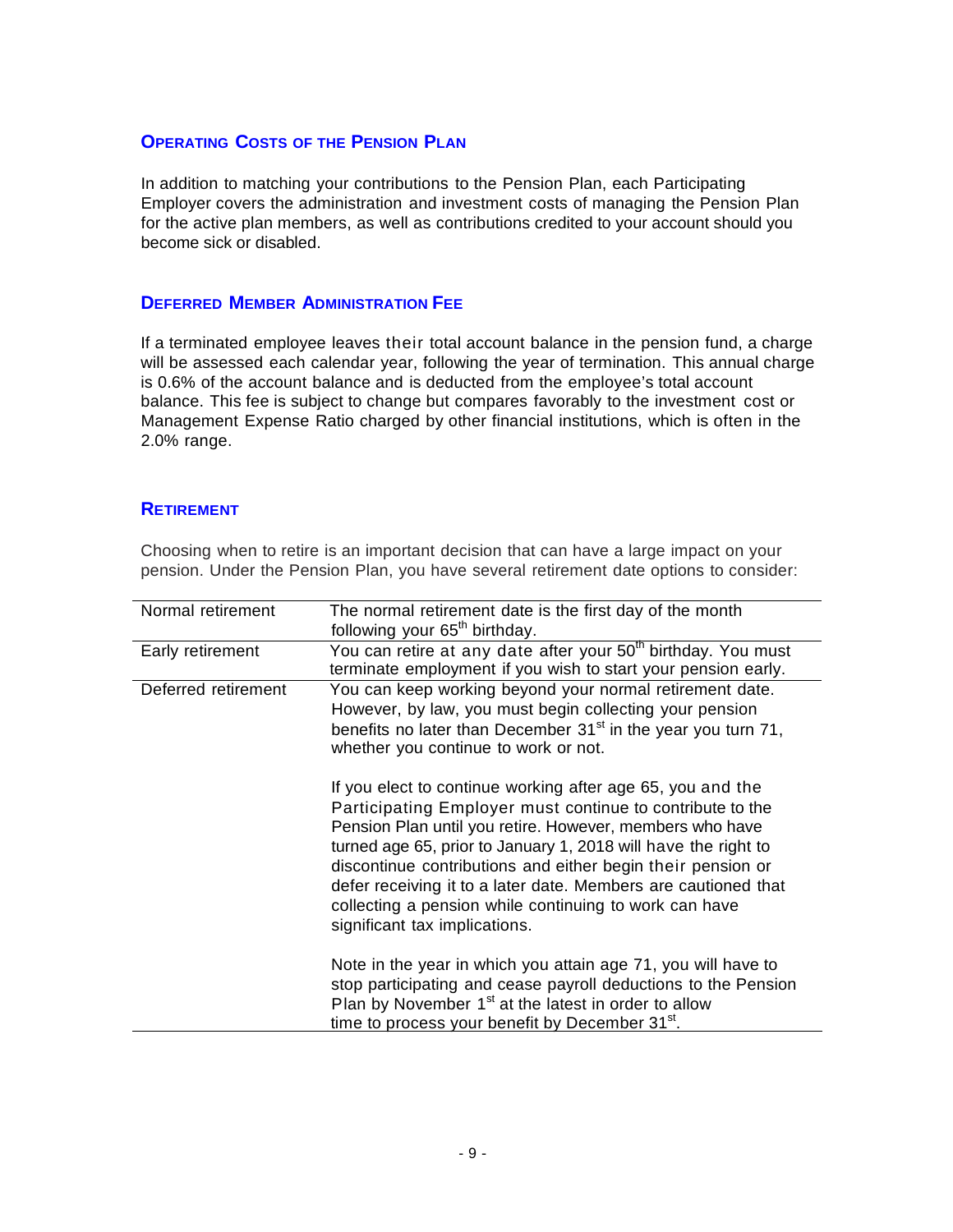# **OPERATING COSTS OF THE PENSION PLAN**

In addition to matching your contributions to the Pension Plan, each Participating Employer covers the administration and investment costs of managing the Pension Plan for the active plan members, as well as contributions credited to your account should you become sick or disabled.

#### **DEFERRED MEMBER ADMINISTRATION FEE**

If a terminated employee leaves their total account balance in the pension fund, a charge will be assessed each calendar year, following the year of termination. This annual charge is 0.6% of the account balance and is deducted from the employee's total account balance. This fee is subject to change but compares favorably to the investment cost or Management Expense Ratio charged by other financial institutions, which is often in the 2.0% range.

#### **RETIREMENT**

Choosing when to retire is an important decision that can have a large impact on your pension. Under the Pension Plan, you have several retirement date options to consider:

| Normal retirement   | The normal retirement date is the first day of the month<br>following your 65 <sup>th</sup> birthday.                                                                                                                                                                                                                                                                                                                                                                             |
|---------------------|-----------------------------------------------------------------------------------------------------------------------------------------------------------------------------------------------------------------------------------------------------------------------------------------------------------------------------------------------------------------------------------------------------------------------------------------------------------------------------------|
| Early retirement    | You can retire at any date after your 50 <sup>th</sup> birthday. You must<br>terminate employment if you wish to start your pension early.                                                                                                                                                                                                                                                                                                                                        |
| Deferred retirement | You can keep working beyond your normal retirement date.<br>However, by law, you must begin collecting your pension<br>benefits no later than December $31st$ in the year you turn 71,<br>whether you continue to work or not.                                                                                                                                                                                                                                                    |
|                     | If you elect to continue working after age 65, you and the<br>Participating Employer must continue to contribute to the<br>Pension Plan until you retire. However, members who have<br>turned age 65, prior to January 1, 2018 will have the right to<br>discontinue contributions and either begin their pension or<br>defer receiving it to a later date. Members are cautioned that<br>collecting a pension while continuing to work can have<br>significant tax implications. |
|                     | Note in the year in which you attain age 71, you will have to<br>stop participating and cease payroll deductions to the Pension<br>Plan by November $1st$ at the latest in order to allow<br>time to process your benefit by December 31 <sup>st</sup> .                                                                                                                                                                                                                          |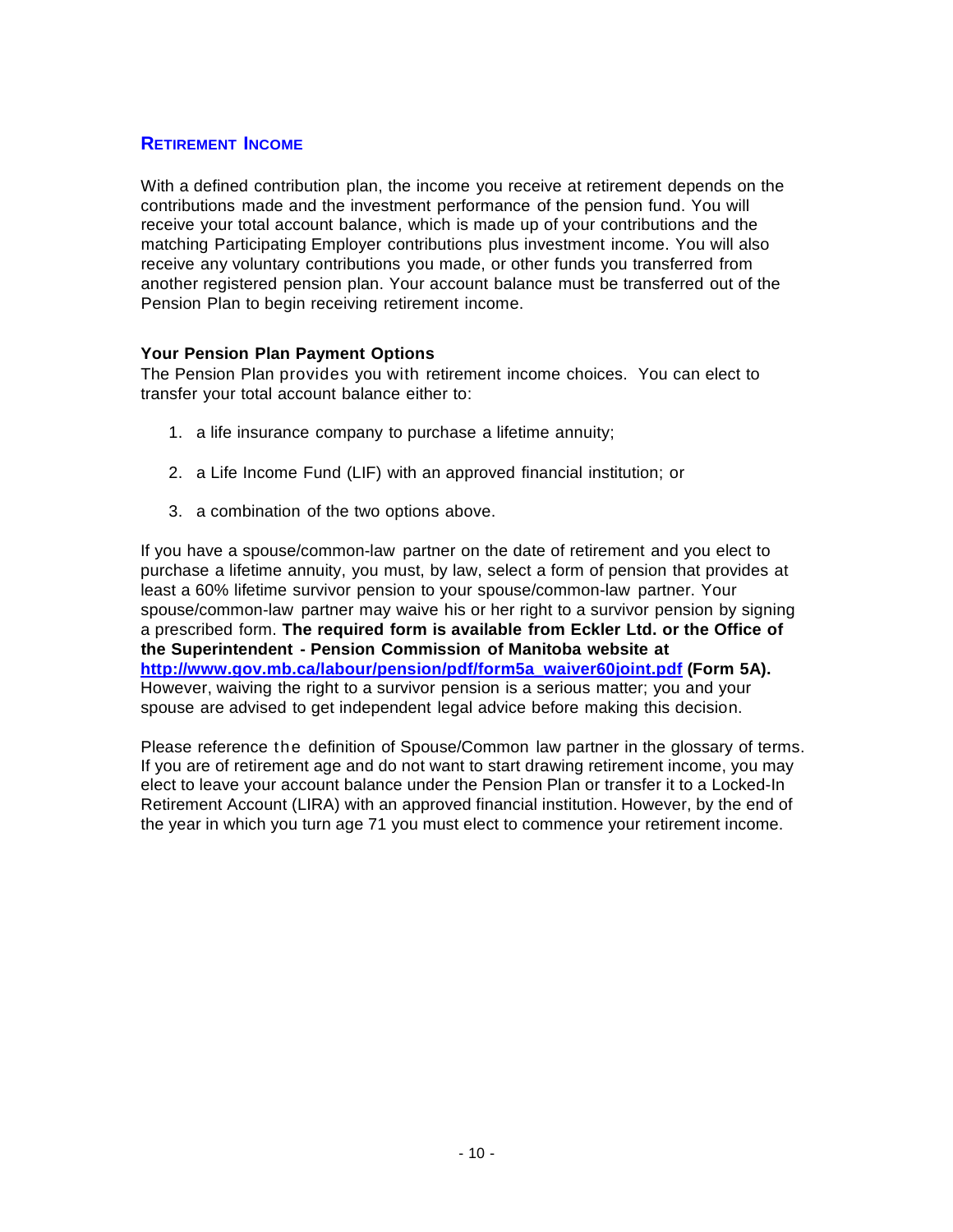# **RETIREMENT INCOME**

With a defined contribution plan, the income you receive at retirement depends on the contributions made and the investment performance of the pension fund. You will receive your total account balance, which is made up of your contributions and the matching Participating Employer contributions plus investment income. You will also receive any voluntary contributions you made, or other funds you transferred from another registered pension plan. Your account balance must be transferred out of the Pension Plan to begin receiving retirement income.

#### **Your Pension Plan Payment Options**

The Pension Plan provides you with retirement income choices. You can elect to transfer your total account balance either to:

- 1. a life insurance company to purchase a lifetime annuity;
- 2. a Life Income Fund (LIF) with an approved financial institution; or
- 3. a combination of the two options above.

If you have a spouse/common-law partner on the date of retirement and you elect to purchase a lifetime annuity, you must, by law, select a form of pension that provides at least a 60% lifetime survivor pension to your spouse/common-law partner. Your spouse/common-law partner may waive his or her right to a survivor pension by signing a prescribed form. **The required form is available from Eckler Ltd. or the Office of the Superintendent - Pension Commission of Manitoba website at [http://www.gov.mb.ca/labour/pension/pdf/form5a\\_waiver60joint.pdf](http://www.gov.mb.ca/labour/pension/pdf/form5a_waiver60joint.pdf) (Form 5A).**  However, waiving the right to a survivor pension is a serious matter; you and your spouse are advised to get independent legal advice before making this decision.

Please reference the definition of Spouse/Common law partner in the glossary of terms. If you are of retirement age and do not want to start drawing retirement income, you may elect to leave your account balance under the Pension Plan or transfer it to a Locked-In Retirement Account (LIRA) with an approved financial institution. However, by the end of the year in which you turn age 71 you must elect to commence your retirement income.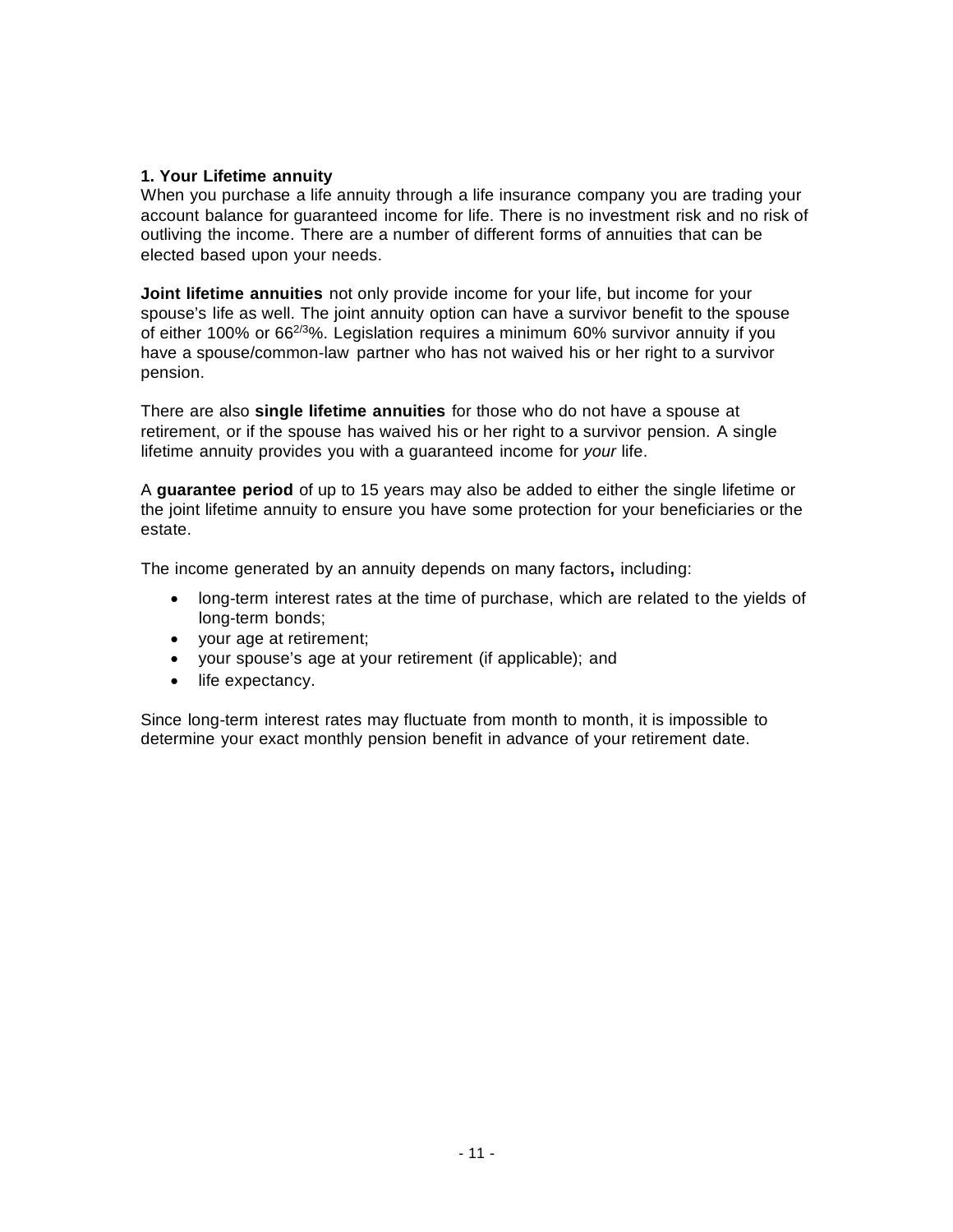#### **1. Your Lifetime annuity**

When you purchase a life annuity through a life insurance company you are trading your account balance for guaranteed income for life. There is no investment risk and no risk of outliving the income. There are a number of different forms of annuities that can be elected based upon your needs.

**Joint lifetime annuities** not only provide income for your life, but income for your spouse's life as well. The joint annuity option can have a survivor benefit to the spouse of either 100% or  $66^{2/3}\%$ . Legislation requires a minimum 60% survivor annuity if you have a spouse/common-law partner who has not waived his or her right to a survivor pension.

There are also **single lifetime annuities** for those who do not have a spouse at retirement, or if the spouse has waived his or her right to a survivor pension. A single lifetime annuity provides you with a guaranteed income for *your* life.

A **guarantee period** of up to 15 years may also be added to either the single lifetime or the joint lifetime annuity to ensure you have some protection for your beneficiaries or the estate.

The income generated by an annuity depends on many factors**,** including:

- long-term interest rates at the time of purchase, which are related to the yields of long-term bonds;
- your age at retirement;
- your spouse's age at your retirement (if applicable); and
- life expectancy.

Since long-term interest rates may fluctuate from month to month, it is impossible to determine your exact monthly pension benefit in advance of your retirement date.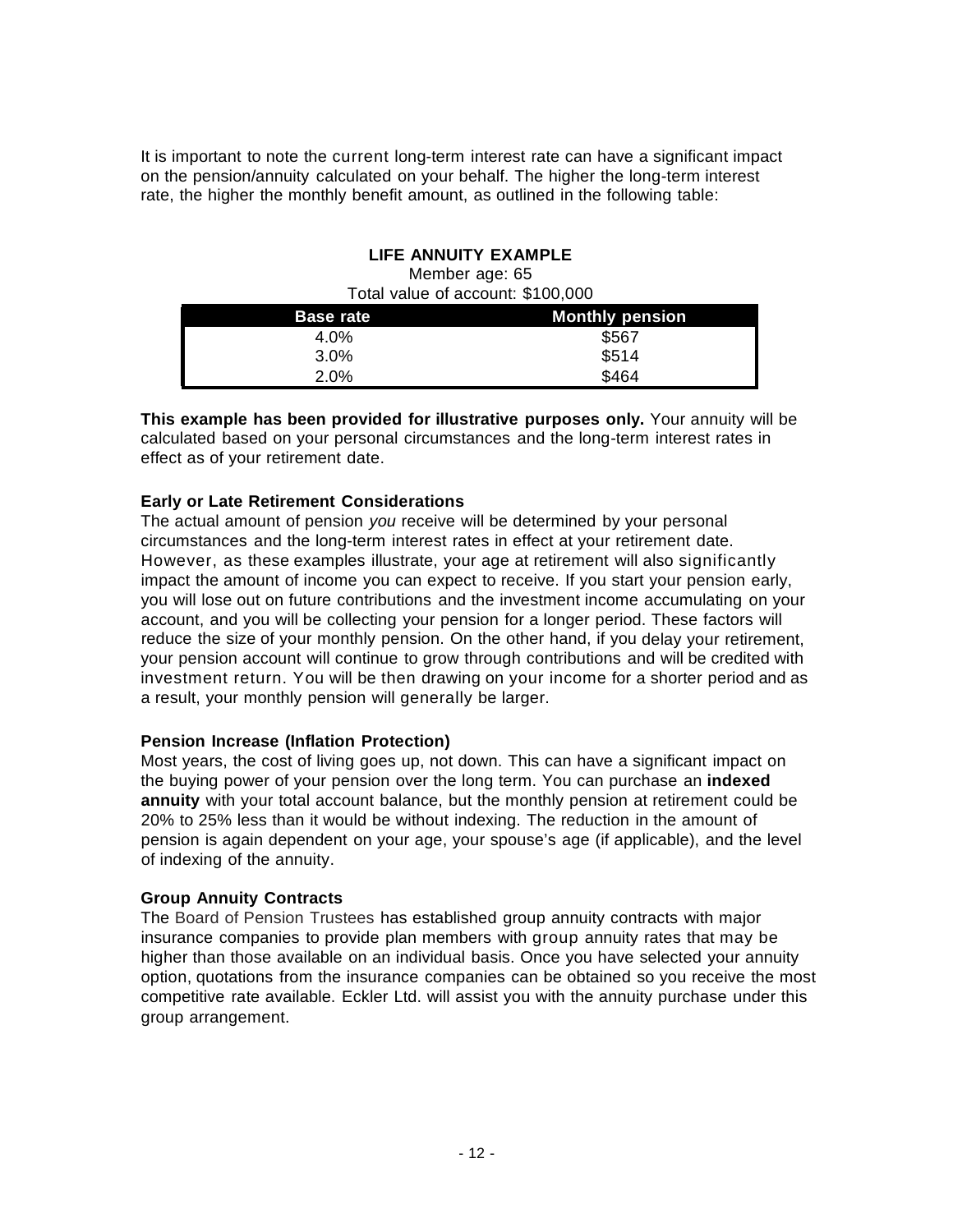It is important to note the current long-term interest rate can have a significant impact on the pension/annuity calculated on your behalf. The higher the long-term interest rate, the higher the monthly benefit amount, as outlined in the following table:

#### **LIFE ANNUITY EXAMPLE**

| Total value of account: \$100,000 |                        |  |
|-----------------------------------|------------------------|--|
| <b>Base rate</b>                  | <b>Monthly pension</b> |  |
| 4.0%                              | \$567                  |  |
| $3.0\%$                           | \$514                  |  |
| 2.0%                              | \$464                  |  |

Member age: 65

**This example has been provided for illustrative purposes only.** Your annuity will be calculated based on your personal circumstances and the long-term interest rates in effect as of your retirement date.

#### **Early or Late Retirement Considerations**

The actual amount of pension *you* receive will be determined by your personal circumstances and the long-term interest rates in effect at your retirement date. However, as these examples illustrate, your age at retirement will also significantly impact the amount of income you can expect to receive. If you start your pension early, you will lose out on future contributions and the investment income accumulating on your account, and you will be collecting your pension for a longer period. These factors will reduce the size of your monthly pension. On the other hand, if you delay your retirement, your pension account will continue to grow through contributions and will be credited with investment return. You will be then drawing on your income for a shorter period and as a result, your monthly pension will generally be larger.

#### **Pension Increase (Inflation Protection)**

Most years, the cost of living goes up, not down. This can have a significant impact on the buying power of your pension over the long term. You can purchase an **indexed annuity** with your total account balance, but the monthly pension at retirement could be 20% to 25% less than it would be without indexing. The reduction in the amount of pension is again dependent on your age, your spouse's age (if applicable), and the level of indexing of the annuity.

#### **Group Annuity Contracts**

The Board of Pension Trustees has established group annuity contracts with major insurance companies to provide plan members with group annuity rates that may be higher than those available on an individual basis. Once you have selected your annuity option, quotations from the insurance companies can be obtained so you receive the most competitive rate available. Eckler Ltd. will assist you with the annuity purchase under this group arrangement.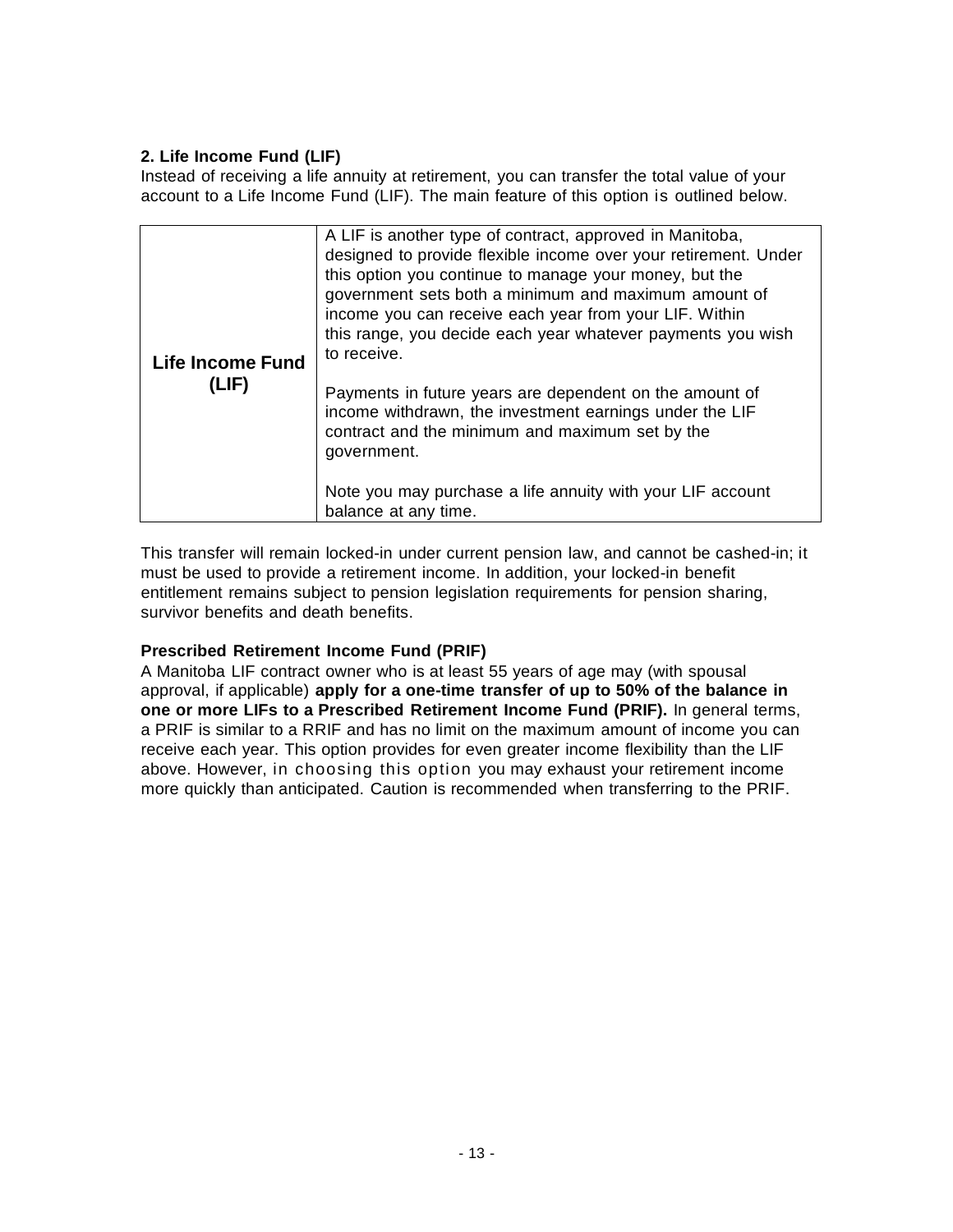# **2. Life Income Fund (LIF)**

Instead of receiving a life annuity at retirement, you can transfer the total value of your account to a Life Income Fund (LIF). The main feature of this option is outlined below.

| <b>Life Income Fund</b><br>(LIF) | A LIF is another type of contract, approved in Manitoba,<br>designed to provide flexible income over your retirement. Under<br>this option you continue to manage your money, but the<br>government sets both a minimum and maximum amount of<br>income you can receive each year from your LIF. Within<br>this range, you decide each year whatever payments you wish<br>to receive.<br>Payments in future years are dependent on the amount of<br>income withdrawn, the investment earnings under the LIF<br>contract and the minimum and maximum set by the<br>government.<br>Note you may purchase a life annuity with your LIF account<br>balance at any time. |
|----------------------------------|---------------------------------------------------------------------------------------------------------------------------------------------------------------------------------------------------------------------------------------------------------------------------------------------------------------------------------------------------------------------------------------------------------------------------------------------------------------------------------------------------------------------------------------------------------------------------------------------------------------------------------------------------------------------|

This transfer will remain locked-in under current pension law, and cannot be cashed-in; it must be used to provide a retirement income. In addition, your locked-in benefit entitlement remains subject to pension legislation requirements for pension sharing, survivor benefits and death benefits.

# **Prescribed Retirement Income Fund (PRIF)**

A Manitoba LIF contract owner who is at least 55 years of age may (with spousal approval, if applicable) **apply for a one-time transfer of up to 50% of the balance in one or more LIFs to a Prescribed Retirement Income Fund (PRIF).** In general terms, a PRIF is similar to a RRIF and has no limit on the maximum amount of income you can receive each year. This option provides for even greater income flexibility than the LIF above. However, in choosing this option you may exhaust your retirement income more quickly than anticipated. Caution is recommended when transferring to the PRIF.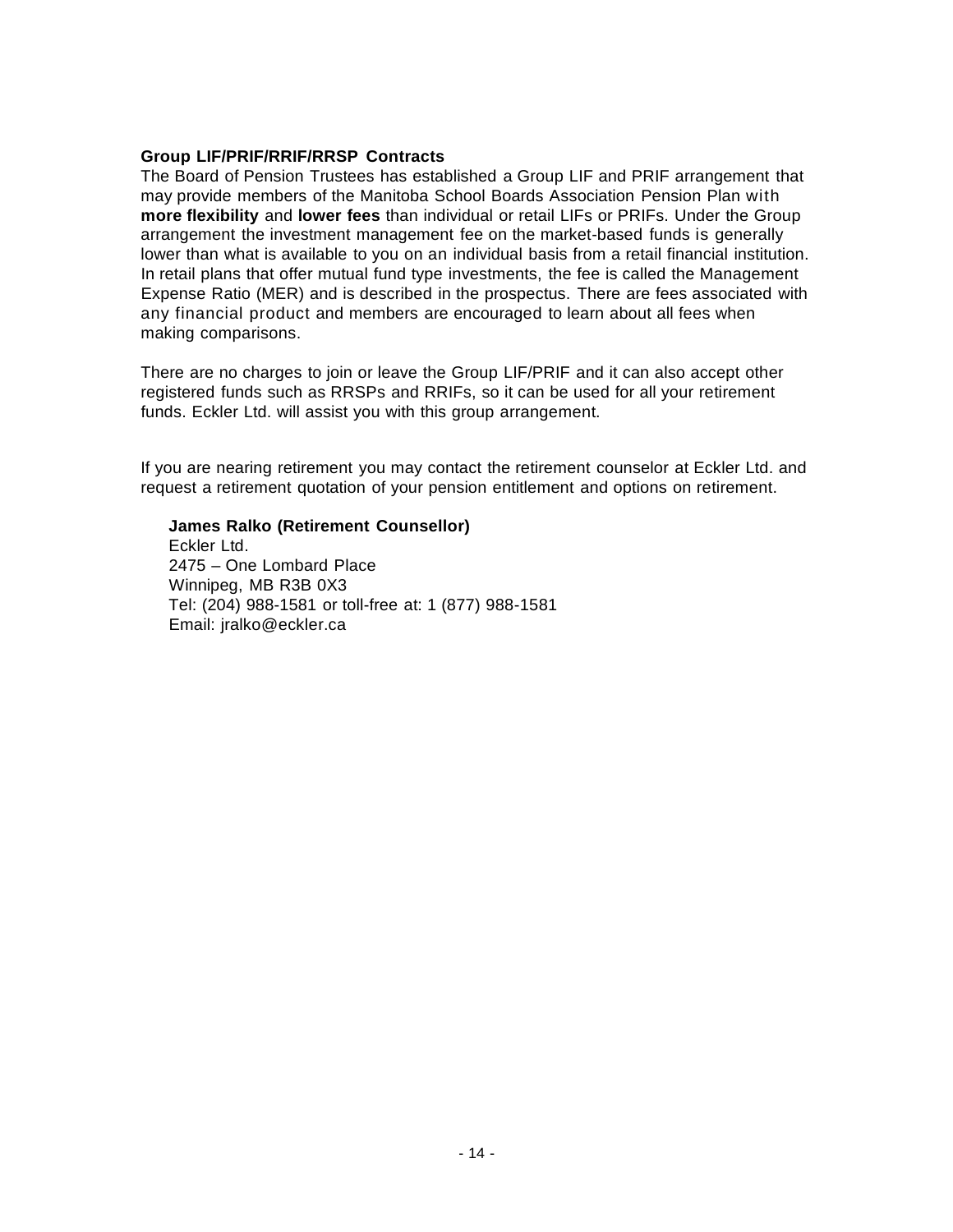#### **Group LIF/PRIF/RRIF/RRSP Contracts**

The Board of Pension Trustees has established a Group LIF and PRIF arrangement that may provide members of the Manitoba School Boards Association Pension Plan with **more flexibility** and **lower fees** than individual or retail LIFs or PRIFs. Under the Group arrangement the investment management fee on the market-based funds is generally lower than what is available to you on an individual basis from a retail financial institution. In retail plans that offer mutual fund type investments, the fee is called the Management Expense Ratio (MER) and is described in the prospectus. There are fees associated with any financial product and members are encouraged to learn about all fees when making comparisons.

There are no charges to join or leave the Group LIF/PRIF and it can also accept other registered funds such as RRSPs and RRIFs, so it can be used for all your retirement funds. Eckler Ltd. will assist you with this group arrangement.

If you are nearing retirement you may contact the retirement counselor at Eckler Ltd. and request a retirement quotation of your pension entitlement and options on retirement.

#### **James Ralko (Retirement Counsellor)**

Eckler Ltd. 2475 – One Lombard Place Winnipeg, MB R3B 0X3 Tel: (204) 988-1581 or toll-free at: 1 (877) 988-1581 Email: [jralko@eckler.ca](mailto:jralko@eckler.ca)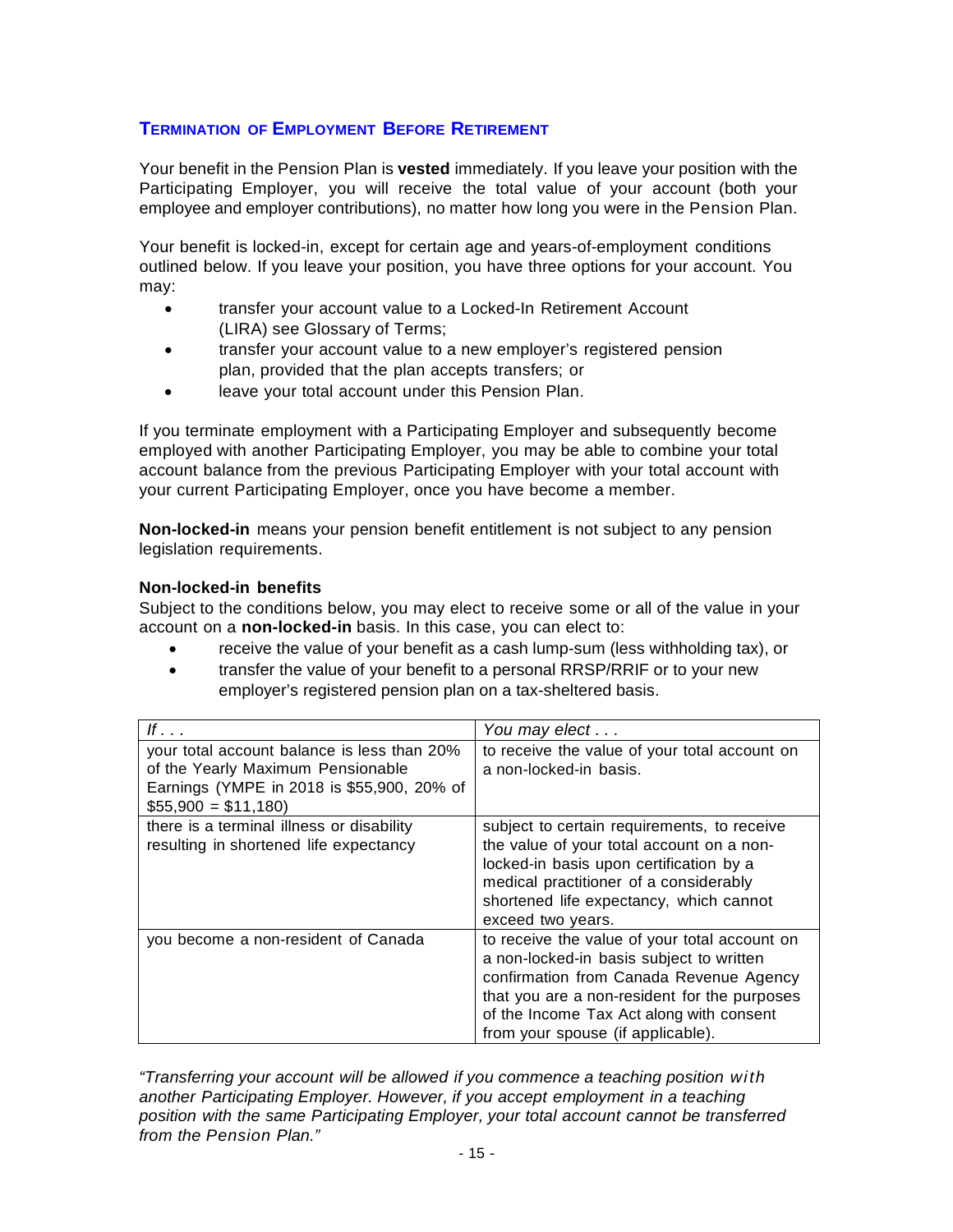# **TERMINATION OF EMPLOYMENT BEFORE RETIREMENT**

Your benefit in the Pension Plan is **vested** immediately. If you leave your position with the Participating Employer, you will receive the total value of your account (both your employee and employer contributions), no matter how long you were in the Pension Plan.

Your benefit is locked-in, except for certain age and years-of-employment conditions outlined below. If you leave your position, you have three options for your account. You may:

- transfer your account value to a Locked-In Retirement Account (LIRA) see Glossary of Terms;
- transfer your account value to a new employer's registered pension plan, provided that the plan accepts transfers; or
- leave your total account under this Pension Plan.

If you terminate employment with a Participating Employer and subsequently become employed with another Participating Employer, you may be able to combine your total account balance from the previous Participating Employer with your total account with your current Participating Employer, once you have become a member.

**Non-locked-in** means your pension benefit entitlement is not subject to any pension legislation requirements.

#### **Non-locked-in benefits**

Subject to the conditions below, you may elect to receive some or all of the value in your account on a **non-locked-in** basis. In this case, you can elect to:

- receive the value of your benefit as a cash lump-sum (less withholding tax), or
- transfer the value of your benefit to a personal RRSP/RRIF or to your new employer's registered pension plan on a tax-sheltered basis.

| If $\ldots$                                 | You may elect                                 |
|---------------------------------------------|-----------------------------------------------|
| your total account balance is less than 20% | to receive the value of your total account on |
| of the Yearly Maximum Pensionable           | a non-locked-in basis.                        |
| Earnings (YMPE in 2018 is \$55,900, 20% of  |                                               |
| $$55,900 = $11,180$                         |                                               |
| there is a terminal illness or disability   | subject to certain requirements, to receive   |
| resulting in shortened life expectancy      | the value of your total account on a non-     |
|                                             | locked-in basis upon certification by a       |
|                                             | medical practitioner of a considerably        |
|                                             | shortened life expectancy, which cannot       |
|                                             | exceed two years.                             |
| you become a non-resident of Canada         | to receive the value of your total account on |
|                                             | a non-locked-in basis subject to written      |
|                                             | confirmation from Canada Revenue Agency       |
|                                             | that you are a non-resident for the purposes  |
|                                             | of the Income Tax Act along with consent      |
|                                             | from your spouse (if applicable).             |

*"Transferring your account will be allowed if you commence a teaching position with another Participating Employer. However, if you accept employment in a teaching position with the same Participating Employer, your total account cannot be transferred from the Pension Plan."*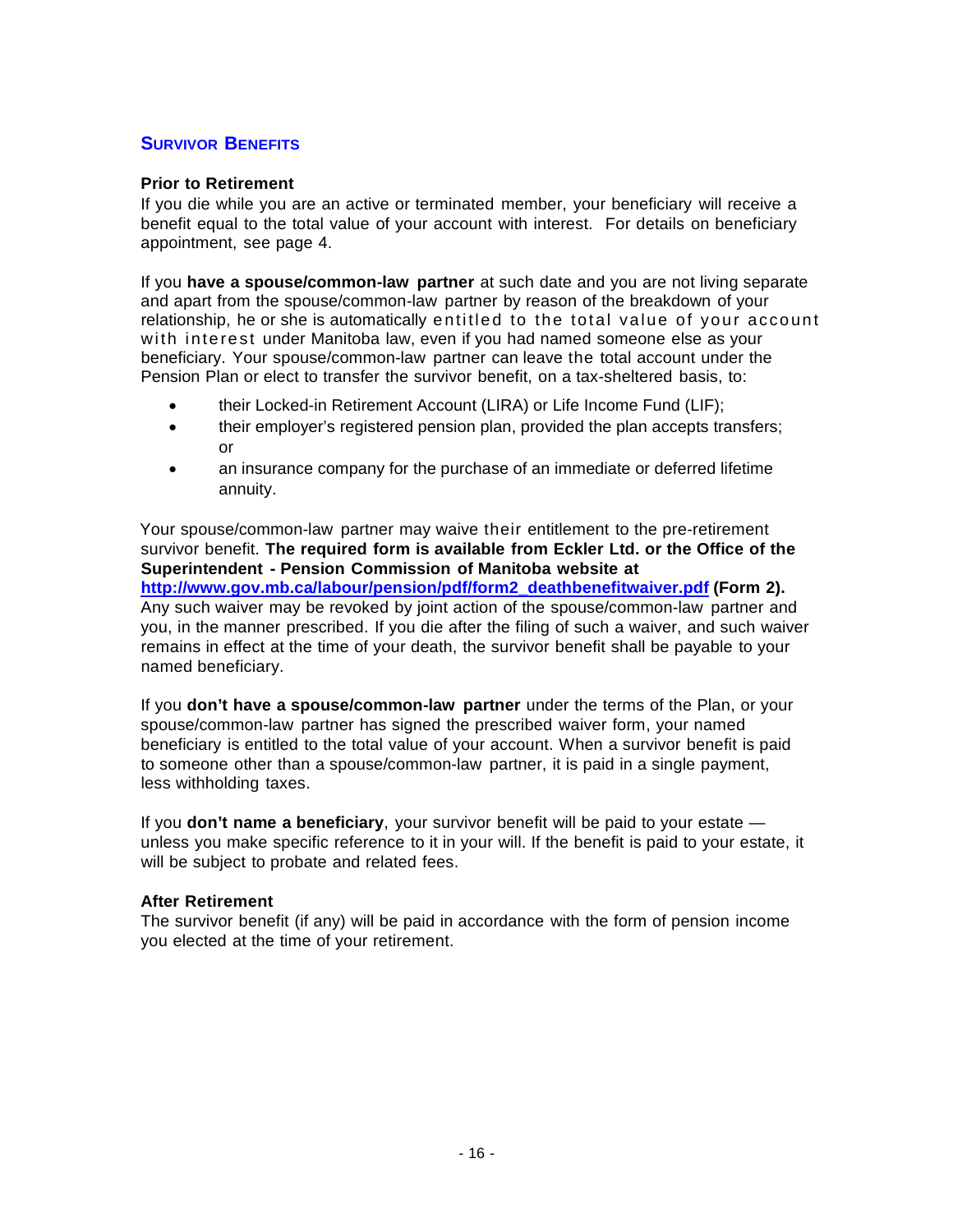# **SURVIVOR BENEFITS**

#### **Prior to Retirement**

If you die while you are an active or terminated member, your beneficiary will receive a benefit equal to the total value of your account with interest. For details on beneficiary appointment, see page 4.

If you **have a spouse/common-law partner** at such date and you are not living separate and apart from the spouse/common-law partner by reason of the breakdown of your relationship, he or she is automatically entitled to the total value of your account with interest under Manitoba law, even if you had named someone else as your beneficiary. Your spouse/common-law partner can leave the total account under the Pension Plan or elect to transfer the survivor benefit, on a tax-sheltered basis, to:

- their Locked-in Retirement Account (LIRA) or Life Income Fund (LIF);
- their employer's registered pension plan, provided the plan accepts transfers; or
- an insurance company for the purchase of an immediate or deferred lifetime annuity.

Your spouse/common-law partner may waive their entitlement to the pre-retirement survivor benefit. **The required form is available from Eckler Ltd. or the Office of the Superintendent - Pension Commission of Manitoba website at [http://www.gov.mb.ca/labour/pension/pdf/form2\\_deathbenefitwaiver.pdf](http://www.gov.mb.ca/labour/pension/pdf/form2_deathbenefitwaiver.pdf) (Form 2).** 

Any such waiver may be revoked by joint action of the spouse/common-law partner and you, in the manner prescribed. If you die after the filing of such a waiver, and such waiver remains in effect at the time of your death, the survivor benefit shall be payable to your named beneficiary.

If you **don't have a spouse/common-law partner** under the terms of the Plan, or your spouse/common-law partner has signed the prescribed waiver form, your named beneficiary is entitled to the total value of your account. When a survivor benefit is paid to someone other than a spouse/common-law partner, it is paid in a single payment, less withholding taxes.

If you **don't name a beneficiary**, your survivor benefit will be paid to your estate unless you make specific reference to it in your will. If the benefit is paid to your estate, it will be subject to probate and related fees.

#### **After Retirement**

The survivor benefit (if any) will be paid in accordance with the form of pension income you elected at the time of your retirement.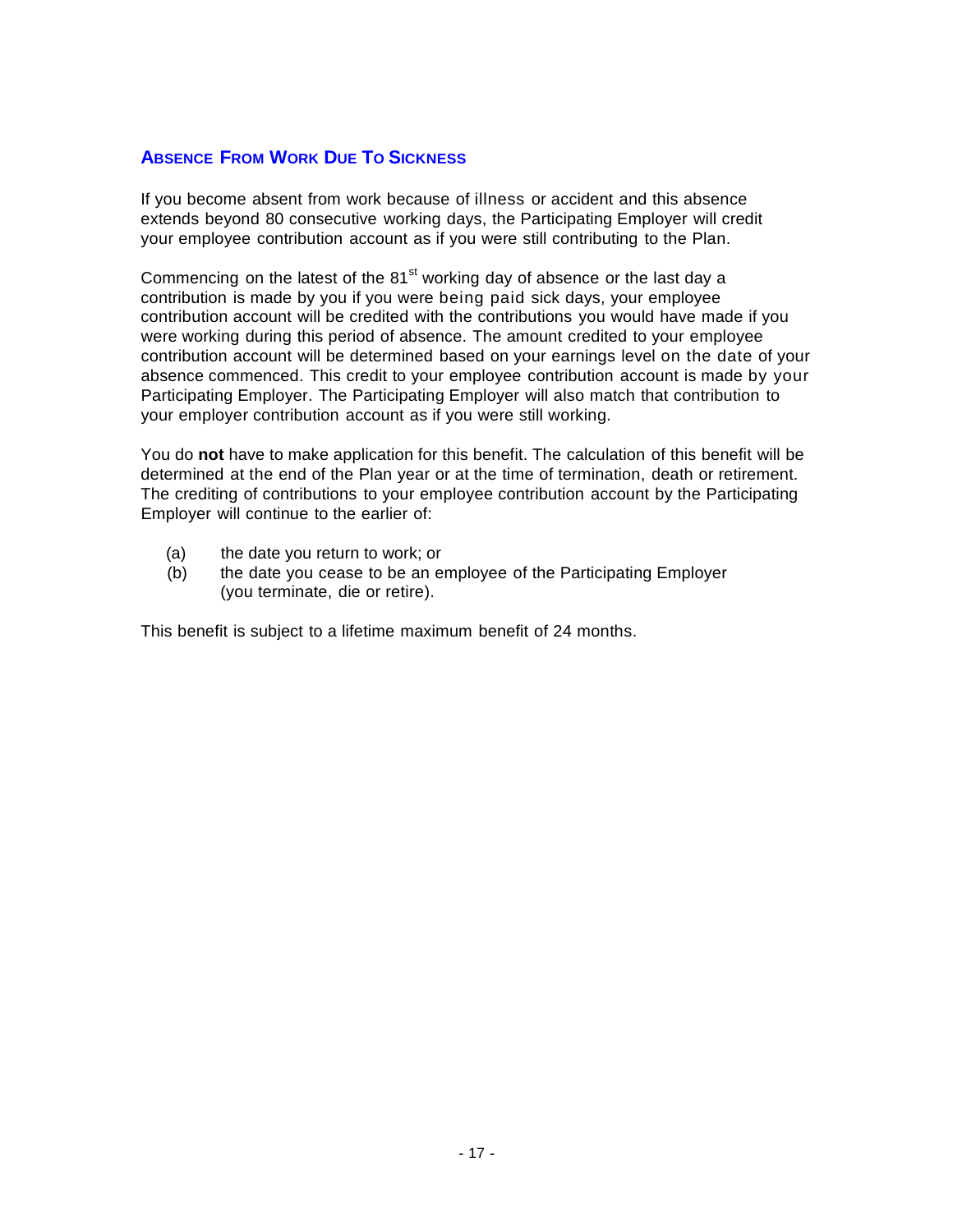# **ABSENCE FROM WORK DUE TO SICKNESS**

If you become absent from work because of illness or accident and this absence extends beyond 80 consecutive working days, the Participating Employer will credit your employee contribution account as if you were still contributing to the Plan.

Commencing on the latest of the  $81<sup>st</sup>$  working day of absence or the last day a contribution is made by you if you were being paid sick days, your employee contribution account will be credited with the contributions you would have made if you were working during this period of absence. The amount credited to your employee contribution account will be determined based on your earnings level on the date of your absence commenced. This credit to your employee contribution account is made by your Participating Employer. The Participating Employer will also match that contribution to your employer contribution account as if you were still working.

You do **not** have to make application for this benefit. The calculation of this benefit will be determined at the end of the Plan year or at the time of termination, death or retirement. The crediting of contributions to your employee contribution account by the Participating Employer will continue to the earlier of:

- (a) the date you return to work; or
- (b) the date you cease to be an employee of the Participating Employer (you terminate, die or retire).

This benefit is subject to a lifetime maximum benefit of 24 months.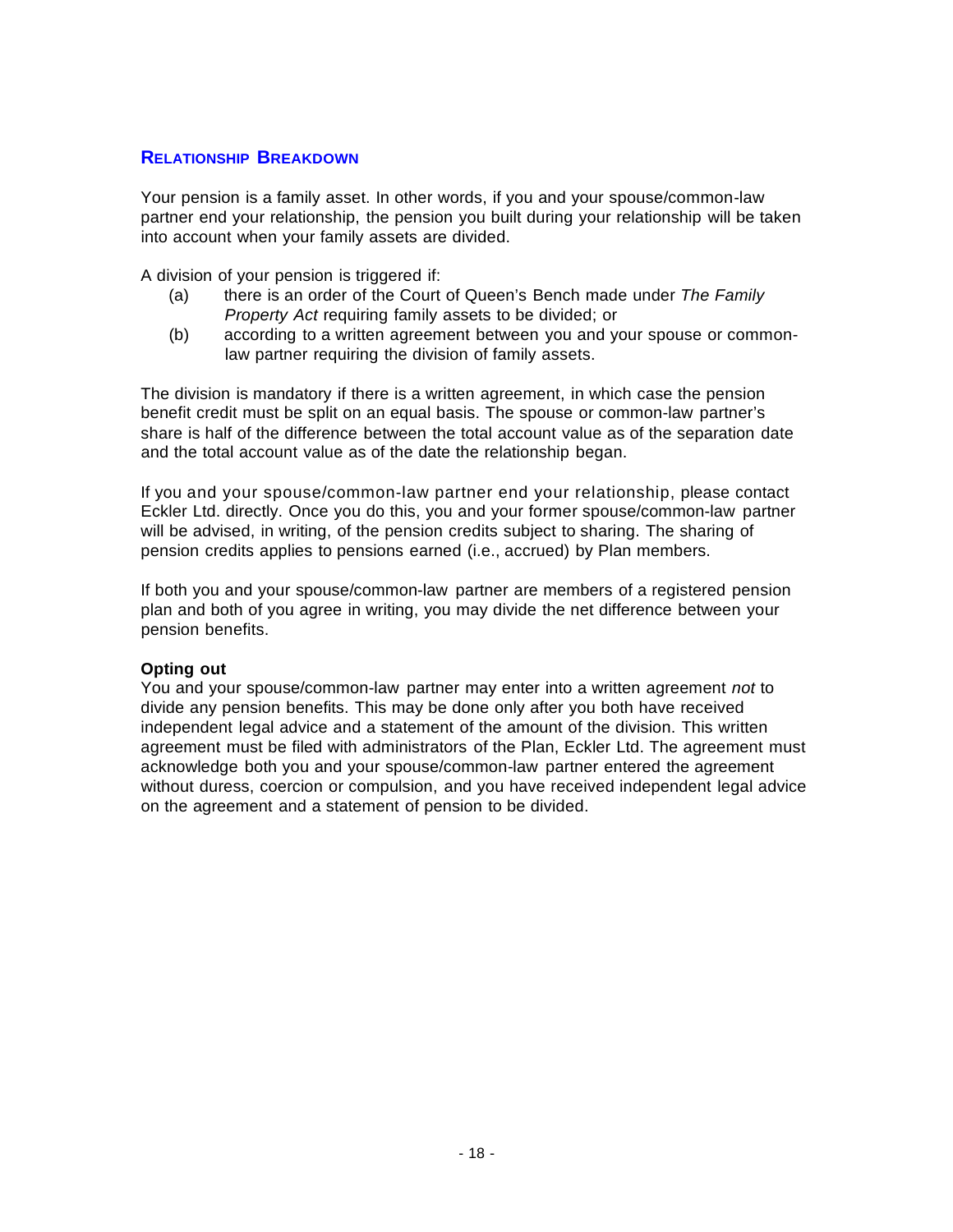#### **RELATIONSHIP BREAKDOWN**

Your pension is a family asset. In other words, if you and your spouse/common-law partner end your relationship, the pension you built during your relationship will be taken into account when your family assets are divided.

A division of your pension is triggered if:

- (a) there is an order of the Court of Queen's Bench made under *The Family Property Act* requiring family assets to be divided; or
- (b) according to a written agreement between you and your spouse or commonlaw partner requiring the division of family assets.

The division is mandatory if there is a written agreement, in which case the pension benefit credit must be split on an equal basis. The spouse or common-law partner's share is half of the difference between the total account value as of the separation date and the total account value as of the date the relationship began.

If you and your spouse/common-law partner end your relationship, please contact Eckler Ltd. directly. Once you do this, you and your former spouse/common-law partner will be advised, in writing, of the pension credits subject to sharing. The sharing of pension credits applies to pensions earned (i.e., accrued) by Plan members.

If both you and your spouse/common-law partner are members of a registered pension plan and both of you agree in writing, you may divide the net difference between your pension benefits.

#### **Opting out**

You and your spouse/common-law partner may enter into a written agreement *not* to divide any pension benefits. This may be done only after you both have received independent legal advice and a statement of the amount of the division. This written agreement must be filed with administrators of the Plan, Eckler Ltd. The agreement must acknowledge both you and your spouse/common-law partner entered the agreement without duress, coercion or compulsion, and you have received independent legal advice on the agreement and a statement of pension to be divided.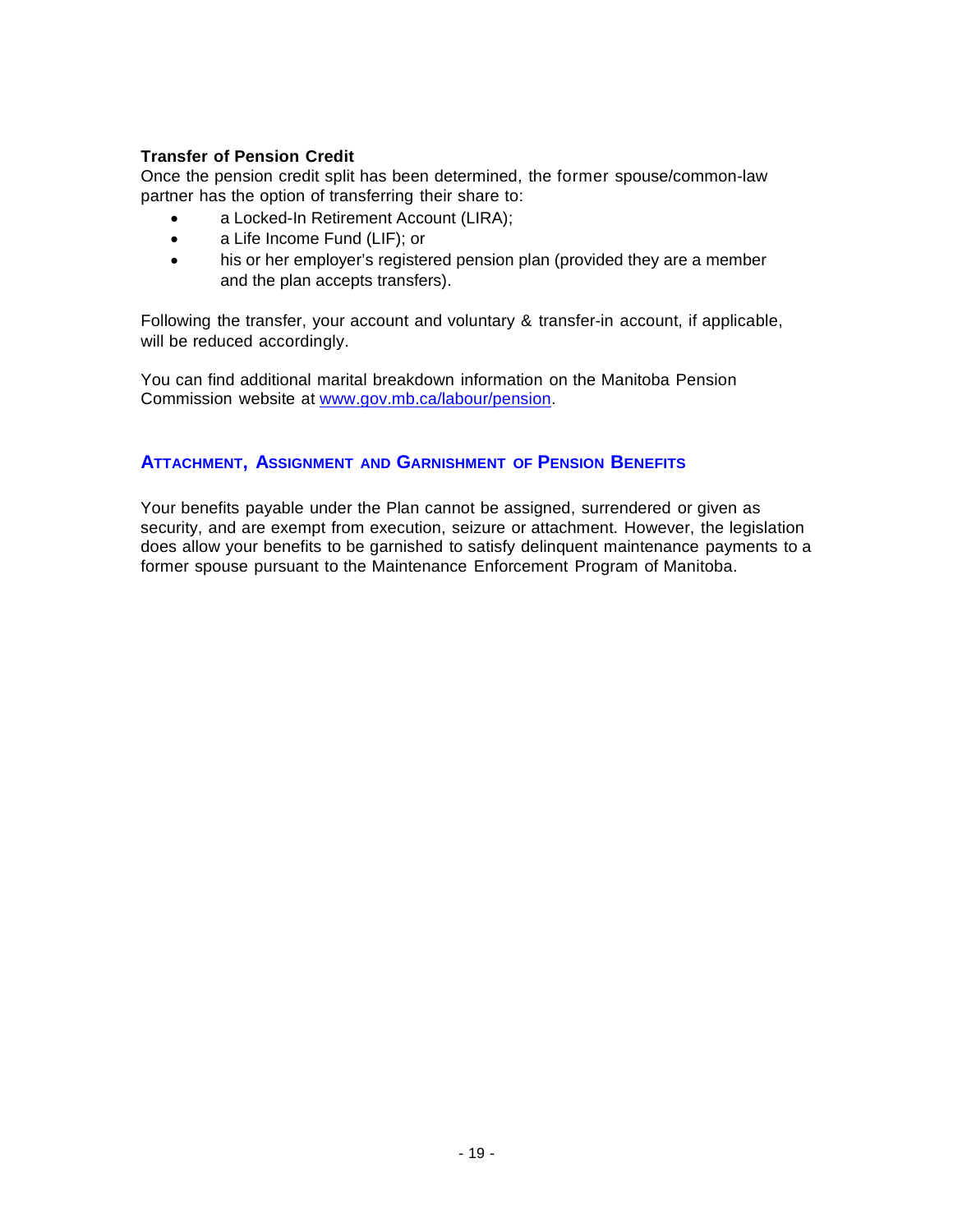#### **Transfer of Pension Credit**

Once the pension credit split has been determined, the former spouse/common-law partner has the option of transferring their share to:

- a Locked-In Retirement Account (LIRA);
- a Life Income Fund (LIF); or
- his or her employer's registered pension plan (provided they are a member and the plan accepts transfers).

Following the transfer, your account and voluntary & transfer-in account, if applicable, will be reduced accordingly.

You can find additional marital breakdown information on the Manitoba Pension Commission website at [www.gov.mb.ca/labour/pension.](http://www.gov.mb.ca/labour/pension)

#### **ATTACHMENT, ASSIGNMENT AND GARNISHMENT OF PENSION BENEFITS**

Your benefits payable under the Plan cannot be assigned, surrendered or given as security, and are exempt from execution, seizure or attachment. However, the legislation does allow your benefits to be garnished to satisfy delinquent maintenance payments to a former spouse pursuant to the Maintenance Enforcement Program of Manitoba.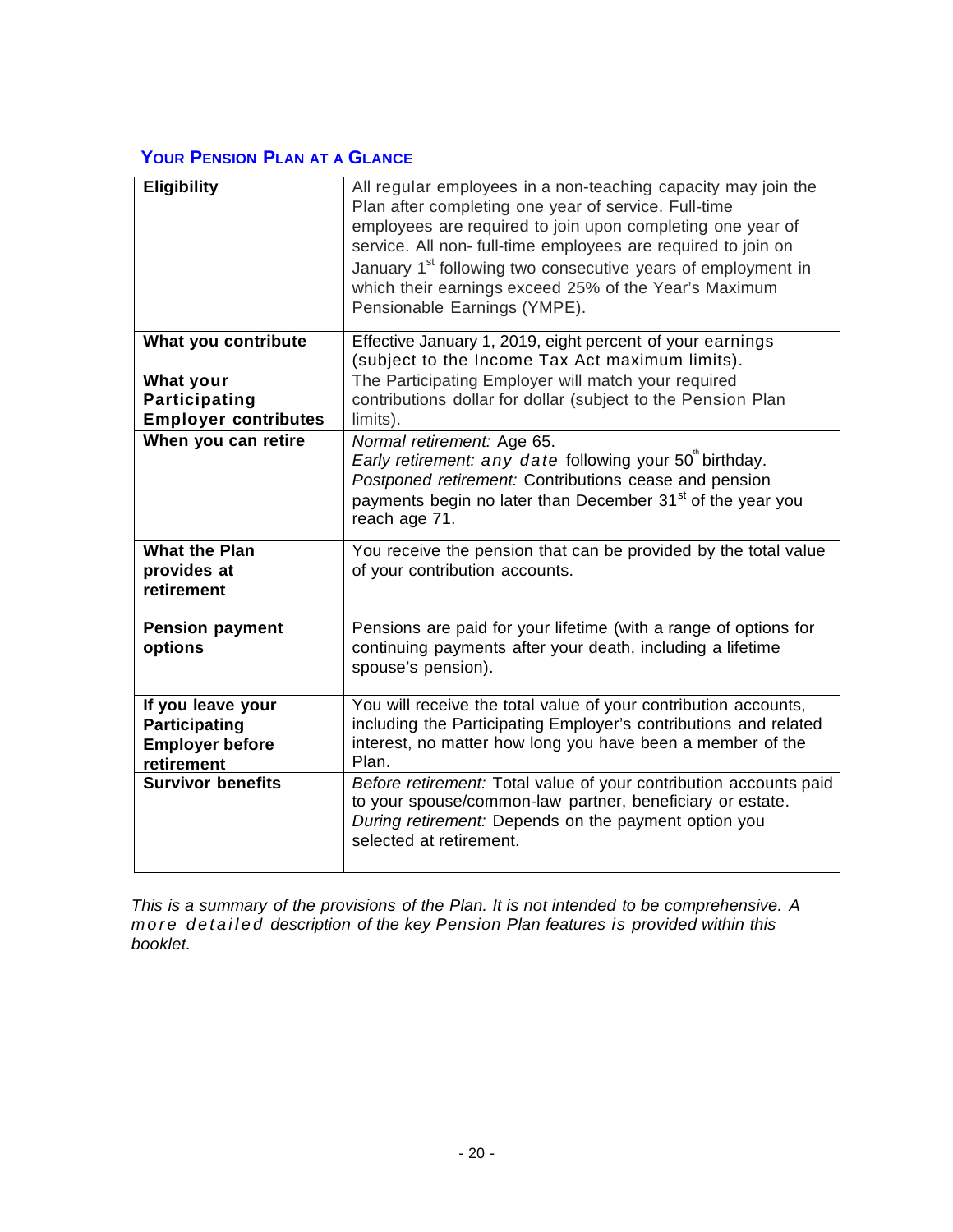# **YOUR PENSION PLAN AT A GLANCE**

| <b>Eligibility</b>                                                                | All regular employees in a non-teaching capacity may join the<br>Plan after completing one year of service. Full-time<br>employees are required to join upon completing one year of<br>service. All non- full-time employees are required to join on<br>January 1 <sup>st</sup> following two consecutive years of employment in<br>which their earnings exceed 25% of the Year's Maximum<br>Pensionable Earnings (YMPE). |
|-----------------------------------------------------------------------------------|---------------------------------------------------------------------------------------------------------------------------------------------------------------------------------------------------------------------------------------------------------------------------------------------------------------------------------------------------------------------------------------------------------------------------|
| What you contribute                                                               | Effective January 1, 2019, eight percent of your earnings<br>(subject to the Income Tax Act maximum limits).                                                                                                                                                                                                                                                                                                              |
| What your<br><b>Participating</b><br><b>Employer contributes</b>                  | The Participating Employer will match your required<br>contributions dollar for dollar (subject to the Pension Plan<br>limits).                                                                                                                                                                                                                                                                                           |
| When you can retire                                                               | Normal retirement: Age 65.<br>Early retirement: any date following your 50" birthday.<br>Postponed retirement: Contributions cease and pension<br>payments begin no later than December 31 <sup>st</sup> of the year you<br>reach age 71.                                                                                                                                                                                 |
| <b>What the Plan</b><br>provides at<br>retirement                                 | You receive the pension that can be provided by the total value<br>of your contribution accounts.                                                                                                                                                                                                                                                                                                                         |
| <b>Pension payment</b><br>options                                                 | Pensions are paid for your lifetime (with a range of options for<br>continuing payments after your death, including a lifetime<br>spouse's pension).                                                                                                                                                                                                                                                                      |
| If you leave your<br><b>Participating</b><br><b>Employer before</b><br>retirement | You will receive the total value of your contribution accounts,<br>including the Participating Employer's contributions and related<br>interest, no matter how long you have been a member of the<br>Plan.                                                                                                                                                                                                                |
| <b>Survivor benefits</b>                                                          | Before retirement: Total value of your contribution accounts paid<br>to your spouse/common-law partner, beneficiary or estate.<br>During retirement: Depends on the payment option you<br>selected at retirement.                                                                                                                                                                                                         |

*This is a summary of the provisions of the Plan. It is not intended to be comprehensive. A more detailed description of the key Pension Plan features is provided within this booklet.*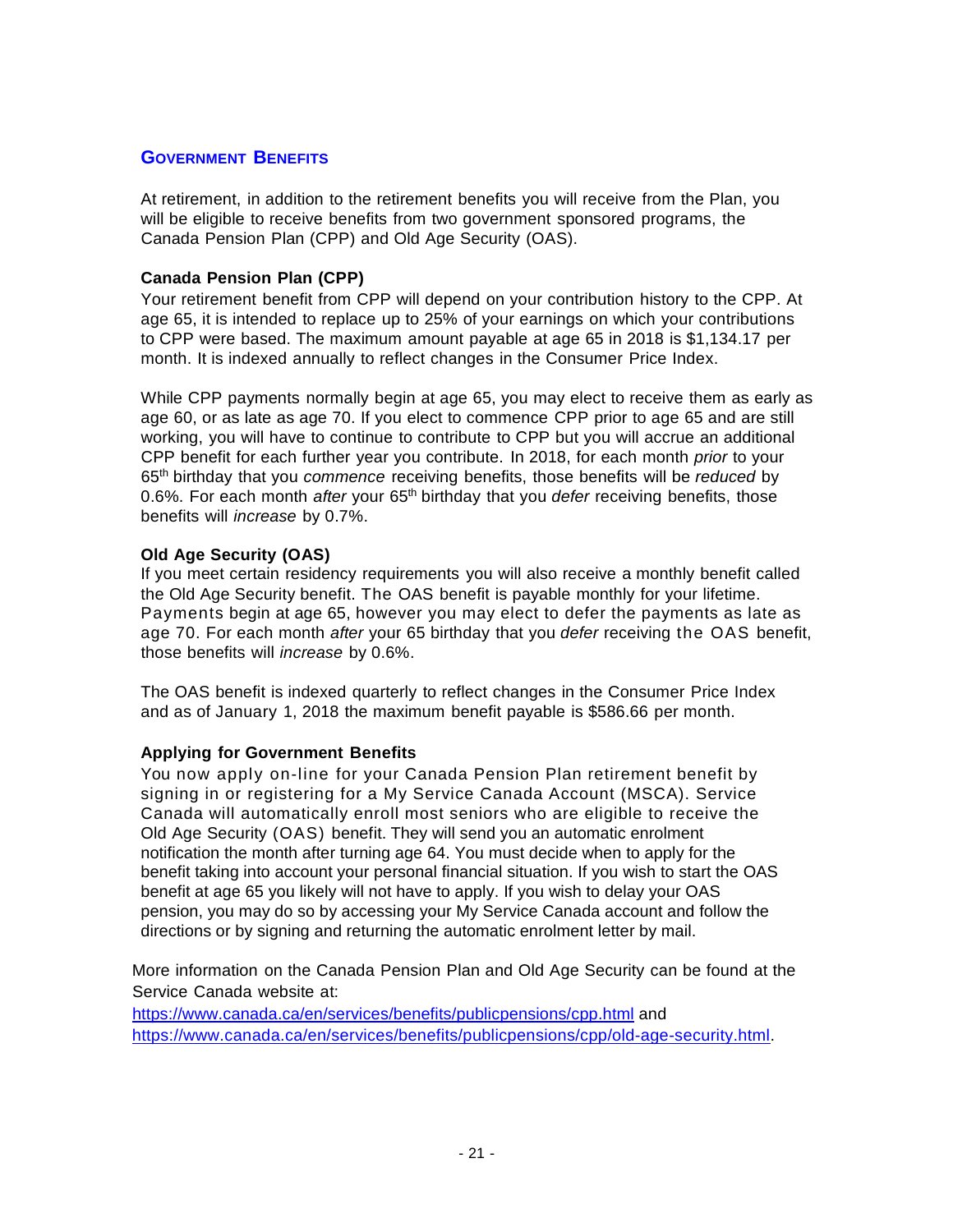# **GOVERNMENT BENEFITS**

At retirement, in addition to the retirement benefits you will receive from the Plan, you will be eligible to receive benefits from two government sponsored programs, the Canada Pension Plan (CPP) and Old Age Security (OAS).

#### **Canada Pension Plan (CPP)**

Your retirement benefit from CPP will depend on your contribution history to the CPP. At age 65, it is intended to replace up to 25% of your earnings on which your contributions to CPP were based. The maximum amount payable at age 65 in 2018 is \$1,134.17 per month. It is indexed annually to reflect changes in the Consumer Price Index.

While CPP payments normally begin at age 65, you may elect to receive them as early as age 60, or as late as age 70. If you elect to commence CPP prior to age 65 and are still working, you will have to continue to contribute to CPP but you will accrue an additional CPP benefit for each further year you contribute. In 2018, for each month *prior* to your 65th birthday that you *commence* receiving benefits, those benefits will be *reduced* by 0.6%. For each month *after* your 65th birthday that you *defer* receiving benefits, those benefits will *increase* by 0.7%.

#### **Old Age Security (OAS)**

If you meet certain residency requirements you will also receive a monthly benefit called the Old Age Security benefit. The OAS benefit is payable monthly for your lifetime. Payments begin at age 65, however you may elect to defer the payments as late as age 70. For each month *after* your 65 birthday that you *defer* receiving the OAS benefit, those benefits will *increase* by 0.6%.

The OAS benefit is indexed quarterly to reflect changes in the Consumer Price Index and as of January 1, 2018 the maximum benefit payable is \$586.66 per month.

#### **Applying for Government Benefits**

You now apply on-line for your Canada Pension Plan retirement benefit by signing in or registering for a My Service Canada Account (MSCA). Service Canada will automatically enroll most seniors who are eligible to receive the Old Age Security (OAS) benefit. They will send you an automatic enrolment notification the month after turning age 64. You must decide when to apply for the benefit taking into account your personal financial situation. If you wish to start the OAS benefit at age 65 you likely will not have to apply. If you wish to delay your OAS pension, you may do so by accessing your My Service Canada account and follow the directions or by signing and returning the automatic enrolment letter by mail.

More information on the Canada Pension Plan and Old Age Security can be found at the Service Canada website at:

<https://www.canada.ca/en/services/benefits/publicpensions/cpp.html> and [https://www.canada.ca/en/services/benefits/publicpensions/cpp/old-age-security.html.](https://www.canada.ca/en/services/benefits/publicpensions/cpp/old-age-security.html)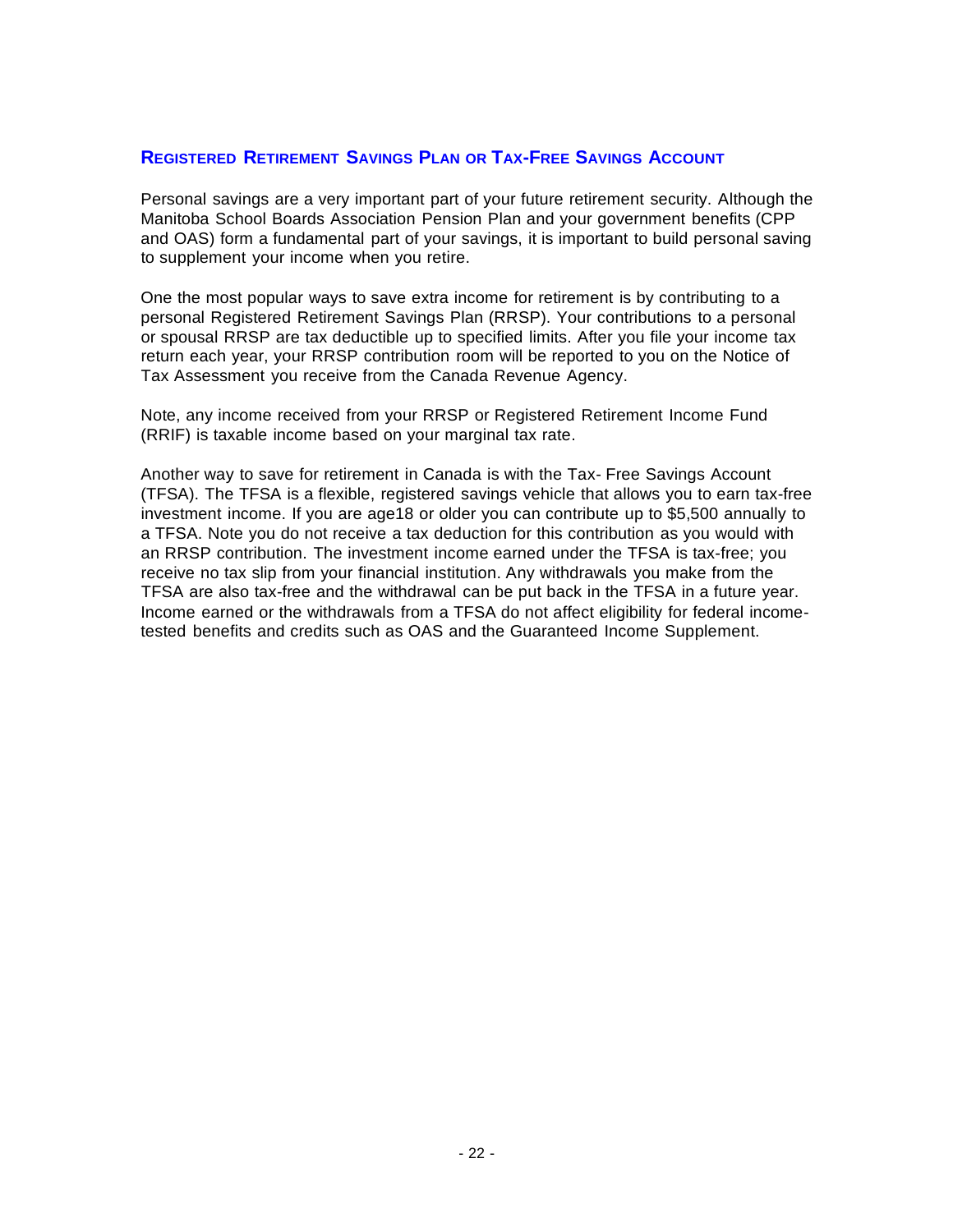# **REGISTERED RETIREMENT SAVINGS PLAN OR TAX-FREE SAVINGS ACCOUNT**

Personal savings are a very important part of your future retirement security. Although the Manitoba School Boards Association Pension Plan and your government benefits (CPP and OAS) form a fundamental part of your savings, it is important to build personal saving to supplement your income when you retire.

One the most popular ways to save extra income for retirement is by contributing to a personal Registered Retirement Savings Plan (RRSP). Your contributions to a personal or spousal RRSP are tax deductible up to specified limits. After you file your income tax return each year, your RRSP contribution room will be reported to you on the Notice of Tax Assessment you receive from the Canada Revenue Agency.

Note, any income received from your RRSP or Registered Retirement Income Fund (RRIF) is taxable income based on your marginal tax rate.

Another way to save for retirement in Canada is with the Tax- Free Savings Account (TFSA). The TFSA is a flexible, registered savings vehicle that allows you to earn tax-free investment income. If you are age18 or older you can contribute up to \$5,500 annually to a TFSA. Note you do not receive a tax deduction for this contribution as you would with an RRSP contribution. The investment income earned under the TFSA is tax-free; you receive no tax slip from your financial institution. Any withdrawals you make from the TFSA are also tax-free and the withdrawal can be put back in the TFSA in a future year. Income earned or the withdrawals from a TFSA do not affect eligibility for federal incometested benefits and credits such as OAS and the Guaranteed Income Supplement.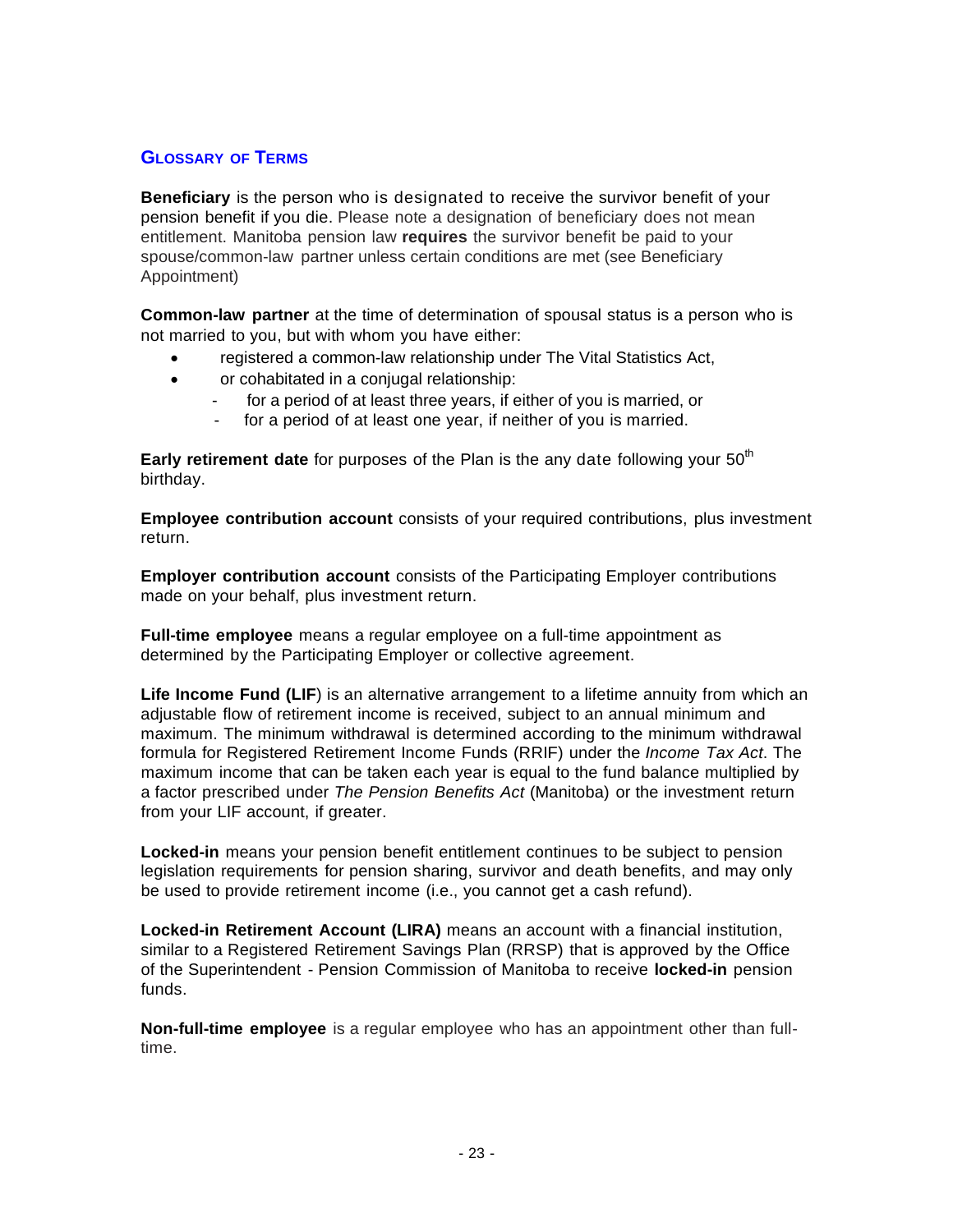# **GLOSSARY OF TERMS**

**Beneficiary** is the person who is designated to receive the survivor benefit of your pension benefit if you die. Please note a designation of beneficiary does not mean entitlement. Manitoba pension law **requires** the survivor benefit be paid to your spouse/common-law partner unless certain conditions are met (see Beneficiary Appointment)

**Common-law partner** at the time of determination of spousal status is a person who is not married to you, but with whom you have either:

- registered a common-law relationship under The Vital Statistics Act,
- or cohabitated in a conjugal relationship:
	- for a period of at least three years, if either of you is married, or
	- for a period of at least one year, if neither of you is married.

**Early retirement date** for purposes of the Plan is the any date following your 50<sup>th</sup> birthday.

**Employee contribution account** consists of your required contributions, plus investment return.

**Employer contribution account** consists of the Participating Employer contributions made on your behalf, plus investment return.

**Full-time employee** means a regular employee on a full-time appointment as determined by the Participating Employer or collective agreement.

**Life Income Fund (LIF**) is an alternative arrangement to a lifetime annuity from which an adjustable flow of retirement income is received, subject to an annual minimum and maximum. The minimum withdrawal is determined according to the minimum withdrawal formula for Registered Retirement Income Funds (RRIF) under the *Income Tax Act*. The maximum income that can be taken each year is equal to the fund balance multiplied by a factor prescribed under *The Pension Benefits Act* (Manitoba) or the investment return from your LIF account, if greater.

**Locked-in** means your pension benefit entitlement continues to be subject to pension legislation requirements for pension sharing, survivor and death benefits, and may only be used to provide retirement income (i.e., you cannot get a cash refund).

**Locked-in Retirement Account (LIRA)** means an account with a financial institution, similar to a Registered Retirement Savings Plan (RRSP) that is approved by the Office of the Superintendent - Pension Commission of Manitoba to receive **locked-in** pension funds.

**Non-full-time employee** is a regular employee who has an appointment other than fulltime.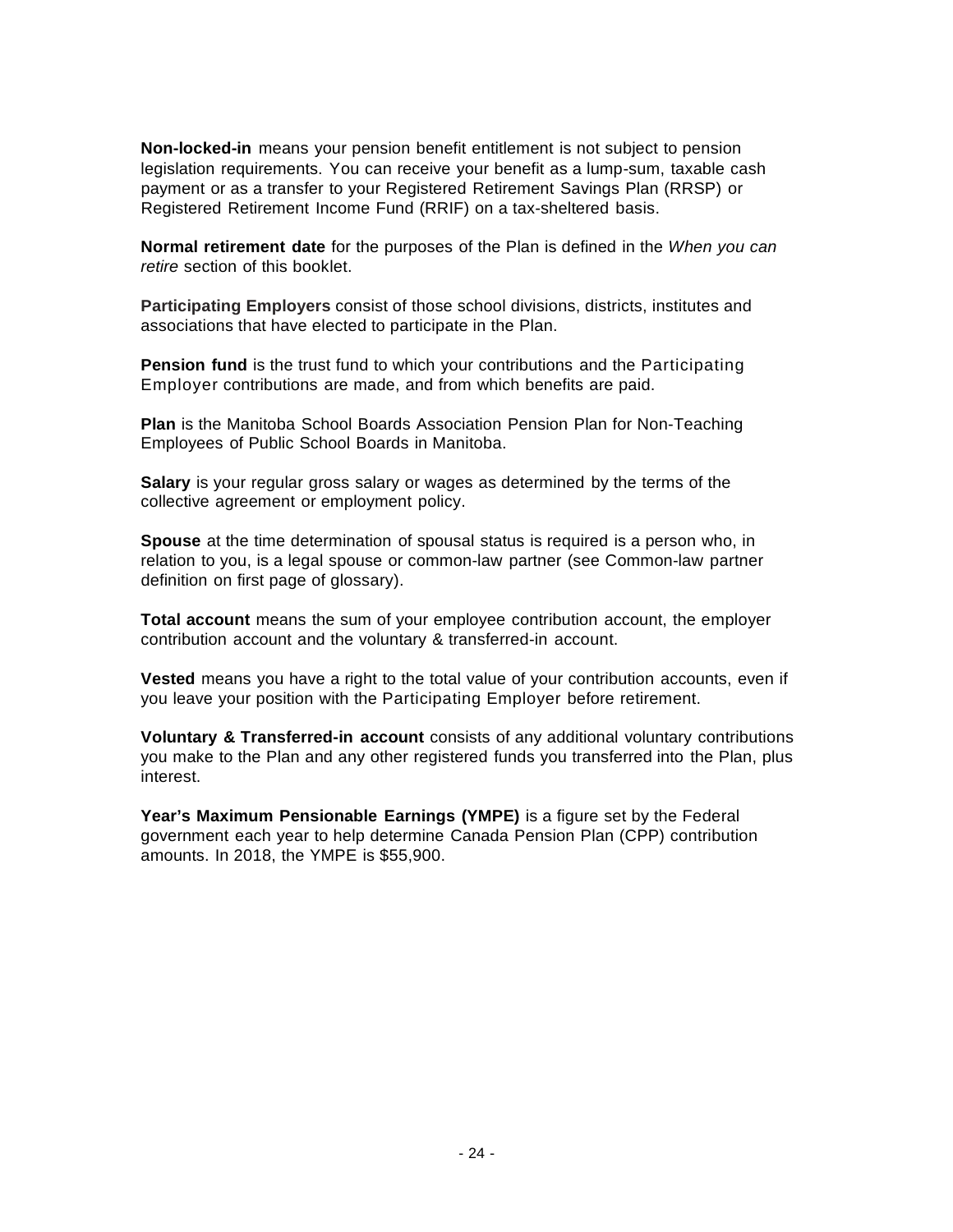**Non-locked-in** means your pension benefit entitlement is not subject to pension legislation requirements. You can receive your benefit as a lump-sum, taxable cash payment or as a transfer to your Registered Retirement Savings Plan (RRSP) or Registered Retirement Income Fund (RRIF) on a tax-sheltered basis.

**Normal retirement date** for the purposes of the Plan is defined in the *When you can retire* section of this booklet.

**Participating Employers** consist of those school divisions, districts, institutes and associations that have elected to participate in the Plan.

**Pension fund** is the trust fund to which your contributions and the Participating Employer contributions are made, and from which benefits are paid.

**Plan** is the Manitoba School Boards Association Pension Plan for Non-Teaching Employees of Public School Boards in Manitoba.

**Salary** is your regular gross salary or wages as determined by the terms of the collective agreement or employment policy.

**Spouse** at the time determination of spousal status is required is a person who, in relation to you, is a legal spouse or common-law partner (see Common-law partner definition on first page of glossary).

**Total account** means the sum of your employee contribution account, the employer contribution account and the voluntary & transferred-in account.

**Vested** means you have a right to the total value of your contribution accounts, even if you leave your position with the Participating Employer before retirement.

**Voluntary & Transferred-in account** consists of any additional voluntary contributions you make to the Plan and any other registered funds you transferred into the Plan, plus interest.

**Year's Maximum Pensionable Earnings (YMPE)** is a figure set by the Federal government each year to help determine Canada Pension Plan (CPP) contribution amounts. In 2018, the YMPE is \$55,900.